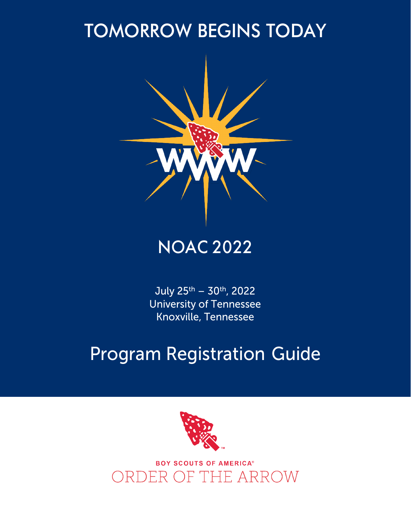#### TOMORROW BEGINS TODAY



#### NOAC 2022

July 25th – 30th, 2022 University of Tennessee Knoxville, Tennessee

#### Program Registration Guide



**BOY SCOUTS OF AMERICA®** ORDER OF THE ARROW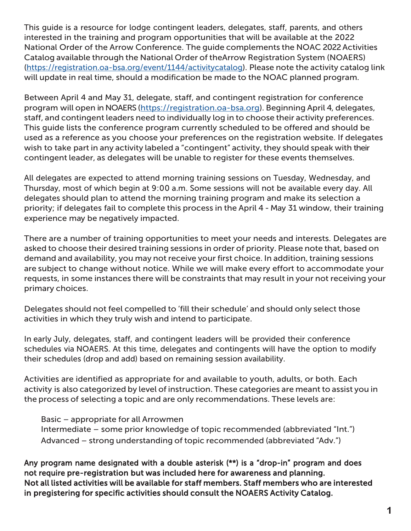This guide is a resource for lodge contingent leaders, delegates, staff, parents, and others interested in the training and program opportunities that will be available at the 2022 National Order of the Arrow Conference. The guide complements the NOAC 2022 Activities Catalog available through the National Order of theArrow Registration System (NOAERS) (https://registration.oa-bsa.org/event/1144/activitycatalog). Please note the activity catalog link will update in real time, should a modification be made to the NOAC planned program.

Between April 4 and May 31, delegate, staff, and contingent registration for conference program will open in NOAERS (https://registration.oa-bsa.org). Beginning April 4, delegates, staff, and contingent leaders need to individually log in to choose their activity preferences. This guide lists the conference program currently scheduled to be offered and should be used as a reference as you choose your preferences on the registration website. If delegates wish to take part in any activity labeled a "contingent" activity, they should speak with their contingent leader, as delegates will be unable to register for these events themselves.

All delegates are expected to attend morning training sessions on Tuesday, Wednesday, and Thursday, most of which begin at 9:00 a.m. Some sessions will not be available every day. All delegates should plan to attend the morning training program and make its selection a priority; if delegates fail to complete this process in the April 4 - May 31 window, their training experience may be negatively impacted.

There are a number of training opportunities to meet your needs and interests. Delegates are asked to choose their desired training sessions in order of priority. Please note that, based on demand and availability, you may not receive your first choice. In addition, training sessions are subject to change without notice. While we will make every effort to accommodate your requests, in some instances there will be constraints that may result in your not receiving your primary choices.

Delegates should not feel compelled to 'fill their schedule' and should only select those activities in which they truly wish and intend to participate.

In early July, delegates, staff, and contingent leaders will be provided their conference schedules via NOAERS. At this time, delegates and contingents will have the option to modify their schedules (drop and add) based on remaining session availability.

Activities are identified as appropriate for and available to youth, adults, or both. Each activity is also categorized by level of instruction. These categories are meant to assist you in the process of selecting a topic and are only recommendations. These levels are:

Basic – appropriate for all Arrowmen Intermediate – some prior knowledge of topic recommended (abbreviated "Int.") Advanced – strong understanding of topic recommended (abbreviated "Adv.")

Any program name designated with a double asterisk (\*\*) is a "drop-in" program and does not require pre-registration but was included here for awareness and planning. Not all listed activities will be available for staff members. Staff members who are interested in pregistering for specific activities should consult the NOAERS Activity Catalog.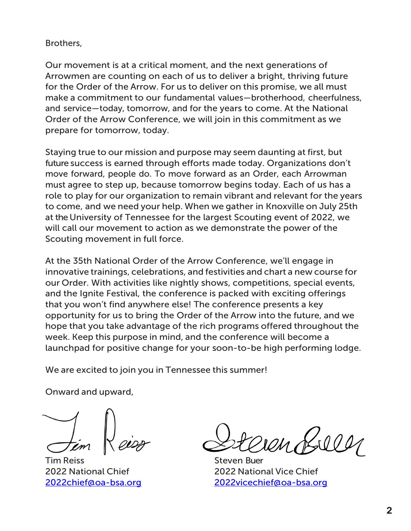#### Brothers,

Our movement is at a critical moment, and the next generations of Arrowmen are counting on each of us to deliver a bright, thriving future for the Order of the Arrow. For us to deliver on this promise, we all must make a commitment to our fundamental values—brotherhood, cheerfulness, and service—today, tomorrow, and for the years to come. At the National Order of the Arrow Conference, we will join in this commitment as we prepare for tomorrow, today.

Staying true to our mission and purpose may seem daunting at first, but future success is earned through efforts made today. Organizations don't move forward, people do. To move forward as an Order, each Arrowman must agree to step up, because tomorrow begins today. Each of us has a role to play for our organization to remain vibrant and relevant for the years to come, and we need your help. When we gather in Knoxville on July 25th at the University of Tennessee for the largest Scouting event of 2022, we will call our movement to action as we demonstrate the power of the Scouting movement in full force.

At the 35th National Order of the Arrow Conference, we'll engage in innovative trainings, celebrations, and festivities and chart a new course for our Order. With activities like nightly shows, competitions, special events, and the Ignite Festival, the conference is packed with exciting offerings that you won't find anywhere else! The conference presents a key opportunity for us to bring the Order of the Arrow into the future, and we hope that you take advantage of the rich programs offered throughout the week. Keep this purpose in mind, and the conference will become a launchpad for positive change for your soon-to-be high performing lodge.

We are excited to join you in Tennessee this summer!

Onward and upward,

**Tim Reiss** Steven Buer

2022 National Chief 2022 National Vice Chief [2022chief@oa-bsa.org](mailto:2022chief@oa-bsa.org) [2022vicechief@oa-bsa.org](mailto:2022vicechief@oa-bsa.org)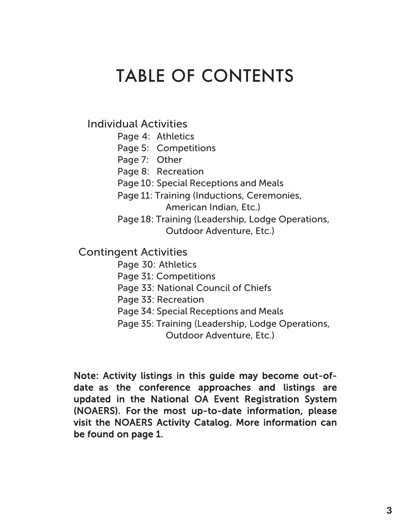#### TABLE OF CONTENTS

Individual Activities

- Page 4: Athletics
- Page 5: Competitions
- Page 7: Other
- Page 8: Recreation
- Page 10: Special Receptions and Meals
- Page 11: Training (Inductions, Ceremonies, American Indian, Etc.)
- Page 18: Training (Leadership, Lodge Operations, Outdoor Adventure, Etc.)

#### Contingent Activities

- Page 30: Athletics
- Page 31: Competitions
- Page 33: National Council of Chiefs
- Page 33: Recreation
- Page 34: Special Receptions and Meals
- Page 35: Training (Leadership, Lodge Operations, Outdoor Adventure, Etc.)

Note: Activity listings in this guide may become out-ofdate as the conference approaches and listings are updated in the National OA Event Registration System (NOAERS). For the most up-to-date information, please visit the NOAERS Activity Catalog. More information can be found on page 1.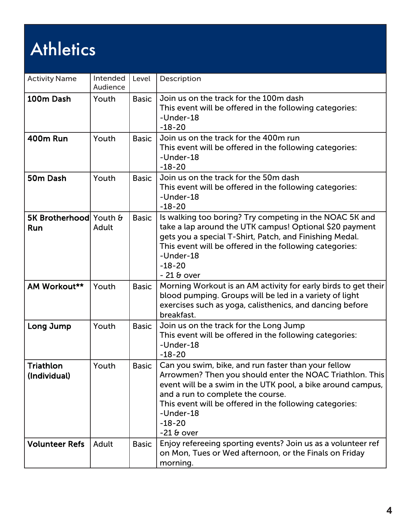# **Athletics**

| <b>Activity Name</b>             | Intended<br>Audience | Level        | Description                                                                                                                                                                                                                                                                                                             |
|----------------------------------|----------------------|--------------|-------------------------------------------------------------------------------------------------------------------------------------------------------------------------------------------------------------------------------------------------------------------------------------------------------------------------|
| 100m Dash                        | Youth                | <b>Basic</b> | Join us on the track for the 100m dash<br>This event will be offered in the following categories:<br>-Under-18<br>$-18-20$                                                                                                                                                                                              |
| <b>400m Run</b>                  | Youth                | <b>Basic</b> | Join us on the track for the 400m run<br>This event will be offered in the following categories:<br>-Under-18<br>$-18-20$                                                                                                                                                                                               |
| 50m Dash                         | Youth                | <b>Basic</b> | Join us on the track for the 50m dash<br>This event will be offered in the following categories:<br>-Under-18<br>$-18-20$                                                                                                                                                                                               |
| 5K Brotherhood Youth &<br>Run    | Adult                | <b>Basic</b> | Is walking too boring? Try competing in the NOAC 5K and<br>take a lap around the UTK campus! Optional \$20 payment<br>gets you a special T-Shirt, Patch, and Finishing Medal.<br>This event will be offered in the following categories:<br>-Under-18<br>$-18-20$<br>$-218$ over                                        |
| AM Workout**                     | Youth                | <b>Basic</b> | Morning Workout is an AM activity for early birds to get their<br>blood pumping. Groups will be led in a variety of light<br>exercises such as yoga, calisthenics, and dancing before<br>breakfast.                                                                                                                     |
| Long Jump                        | Youth                | <b>Basic</b> | Join us on the track for the Long Jump<br>This event will be offered in the following categories:<br>-Under-18<br>$-18-20$                                                                                                                                                                                              |
| <b>Triathlon</b><br>(Individual) | Youth                | <b>Basic</b> | Can you swim, bike, and run faster than your fellow<br>Arrowmen? Then you should enter the NOAC Triathlon. This<br>event will be a swim in the UTK pool, a bike around campus,<br>and a run to complete the course.<br>This event will be offered in the following categories:<br>-Under-18<br>$-18-20$<br>$-21$ & over |
| <b>Volunteer Refs</b>            | Adult                | <b>Basic</b> | Enjoy refereeing sporting events? Join us as a volunteer ref<br>on Mon, Tues or Wed afternoon, or the Finals on Friday<br>morning.                                                                                                                                                                                      |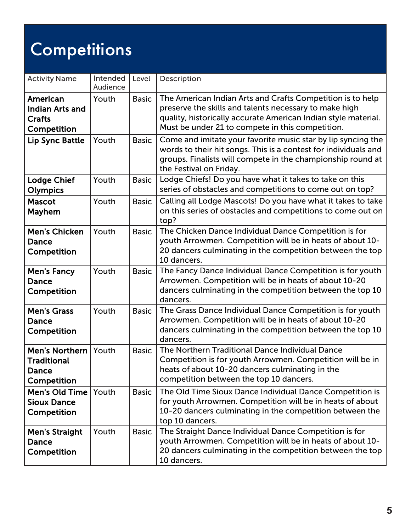# **Competitions**

| <b>Activity Name</b>                                               | Intended<br>Audience | Level        | Description                                                                                                                                                                                                                                |
|--------------------------------------------------------------------|----------------------|--------------|--------------------------------------------------------------------------------------------------------------------------------------------------------------------------------------------------------------------------------------------|
| American<br><b>Indian Arts and</b><br><b>Crafts</b><br>Competition | Youth                | <b>Basic</b> | The American Indian Arts and Crafts Competition is to help<br>preserve the skills and talents necessary to make high<br>quality, historically accurate American Indian style material.<br>Must be under 21 to compete in this competition. |
| Lip Sync Battle                                                    | Youth                | <b>Basic</b> | Come and imitate your favorite music star by lip syncing the<br>words to their hit songs. This is a contest for individuals and<br>groups. Finalists will compete in the championship round at<br>the Festival on Friday.                  |
| <b>Lodge Chief</b><br>Olympics                                     | Youth                | <b>Basic</b> | Lodge Chiefs! Do you have what it takes to take on this<br>series of obstacles and competitions to come out on top?                                                                                                                        |
| <b>Mascot</b><br>Mayhem                                            | Youth                | <b>Basic</b> | Calling all Lodge Mascots! Do you have what it takes to take<br>on this series of obstacles and competitions to come out on<br>top?                                                                                                        |
| <b>Men's Chicken</b><br><b>Dance</b><br>Competition                | Youth                | <b>Basic</b> | The Chicken Dance Individual Dance Competition is for<br>youth Arrowmen. Competition will be in heats of about 10-<br>20 dancers culminating in the competition between the top<br>10 dancers.                                             |
| <b>Men's Fancy</b><br>Dance<br>Competition                         | Youth                | <b>Basic</b> | The Fancy Dance Individual Dance Competition is for youth<br>Arrowmen. Competition will be in heats of about 10-20<br>dancers culminating in the competition between the top 10<br>dancers.                                                |
| <b>Men's Grass</b><br>Dance<br>Competition                         | Youth                | <b>Basic</b> | The Grass Dance Individual Dance Competition is for youth<br>Arrowmen. Competition will be in heats of about 10-20<br>dancers culminating in the competition between the top 10<br>dancers.                                                |
| <b>Men's Northern</b><br>Traditional<br>Dance<br>Competition       | Youth                | <b>Basic</b> | The Northern Traditional Dance Individual Dance<br>Competition is for youth Arrowmen. Competition will be in<br>heats of about 10-20 dancers culminating in the<br>competition between the top 10 dancers.                                 |
| <b>Men's Old Time</b><br><b>Sioux Dance</b><br>Competition         | Youth                | <b>Basic</b> | The Old Time Sioux Dance Individual Dance Competition is<br>for youth Arrowmen. Competition will be in heats of about<br>10-20 dancers culminating in the competition between the<br>top 10 dancers.                                       |
| <b>Men's Straight</b><br><b>Dance</b><br>Competition               | Youth                | <b>Basic</b> | The Straight Dance Individual Dance Competition is for<br>youth Arrowmen. Competition will be in heats of about 10-<br>20 dancers culminating in the competition between the top<br>10 dancers.                                            |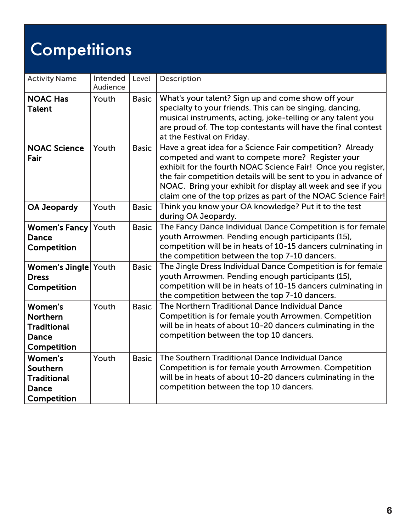# Competitions

| <b>Activity Name</b>                                                            | Intended<br>Audience | Level        | Description                                                                                                                                                                                                                                                                                                                                                                      |
|---------------------------------------------------------------------------------|----------------------|--------------|----------------------------------------------------------------------------------------------------------------------------------------------------------------------------------------------------------------------------------------------------------------------------------------------------------------------------------------------------------------------------------|
| <b>NOAC Has</b><br><b>Talent</b>                                                | Youth                | <b>Basic</b> | What's your talent? Sign up and come show off your<br>specialty to your friends. This can be singing, dancing,<br>musical instruments, acting, joke-telling or any talent you<br>are proud of. The top contestants will have the final contest<br>at the Festival on Friday.                                                                                                     |
| <b>NOAC Science</b><br>Fair                                                     | Youth                | <b>Basic</b> | Have a great idea for a Science Fair competition? Already<br>competed and want to compete more? Register your<br>exhibit for the fourth NOAC Science Fair! Once you register,<br>the fair competition details will be sent to you in advance of<br>NOAC. Bring your exhibit for display all week and see if you<br>claim one of the top prizes as part of the NOAC Science Fair! |
| <b>OA Jeopardy</b>                                                              | Youth                | <b>Basic</b> | Think you know your OA knowledge? Put it to the test<br>during OA Jeopardy.                                                                                                                                                                                                                                                                                                      |
| <b>Women's Fancy</b> Youth<br>Dance<br>Competition                              |                      | <b>Basic</b> | The Fancy Dance Individual Dance Competition is for female<br>youth Arrowmen. Pending enough participants (15),<br>competition will be in heats of 10-15 dancers culminating in<br>the competition between the top 7-10 dancers.                                                                                                                                                 |
| Women's Jingle Youth<br><b>Dress</b><br>Competition                             |                      | <b>Basic</b> | The Jingle Dress Individual Dance Competition is for female<br>youth Arrowmen. Pending enough participants (15),<br>competition will be in heats of 10-15 dancers culminating in<br>the competition between the top 7-10 dancers.                                                                                                                                                |
| <b>Women's</b><br><b>Northern</b><br><b>Traditional</b><br>Dance<br>Competition | Youth                | <b>Basic</b> | The Northern Traditional Dance Individual Dance<br>Competition is for female youth Arrowmen. Competition<br>will be in heats of about 10-20 dancers culminating in the<br>competition between the top 10 dancers.                                                                                                                                                                |
| Women's<br>Southern<br><b>Traditional</b><br>Dance<br>Competition               | Youth                | <b>Basic</b> | The Southern Traditional Dance Individual Dance<br>Competition is for female youth Arrowmen. Competition<br>will be in heats of about 10-20 dancers culminating in the<br>competition between the top 10 dancers.                                                                                                                                                                |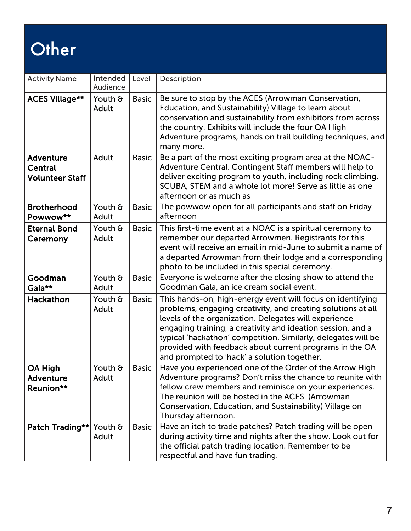# **Other**

| <b>Activity Name</b>                                         | Intended<br>Audience | Level        | Description                                                                                                                                                                                                                                                                                                                                                                                                                   |
|--------------------------------------------------------------|----------------------|--------------|-------------------------------------------------------------------------------------------------------------------------------------------------------------------------------------------------------------------------------------------------------------------------------------------------------------------------------------------------------------------------------------------------------------------------------|
| <b>ACES Village**</b>                                        | Youth &<br>Adult     | <b>Basic</b> | Be sure to stop by the ACES (Arrowman Conservation,<br>Education, and Sustainability) Village to learn about<br>conservation and sustainability from exhibitors from across<br>the country. Exhibits will include the four OA High<br>Adventure programs, hands on trail building techniques, and<br>many more.                                                                                                               |
| <b>Adventure</b><br><b>Central</b><br><b>Volunteer Staff</b> | Adult                | <b>Basic</b> | Be a part of the most exciting program area at the NOAC-<br>Adventure Central. Contingent Staff members will help to<br>deliver exciting program to youth, including rock climbing,<br>SCUBA, STEM and a whole lot more! Serve as little as one<br>afternoon or as much as                                                                                                                                                    |
| <b>Brotherhood</b><br>Powwow**                               | Youth &<br>Adult     | <b>Basic</b> | The powwow open for all participants and staff on Friday<br>afternoon                                                                                                                                                                                                                                                                                                                                                         |
| <b>Eternal Bond</b><br>Ceremony                              | Youth &<br>Adult     | <b>Basic</b> | This first-time event at a NOAC is a spiritual ceremony to<br>remember our departed Arrowmen. Registrants for this<br>event will receive an email in mid-June to submit a name of<br>a departed Arrowman from their lodge and a corresponding<br>photo to be included in this special ceremony.                                                                                                                               |
| Goodman<br>Gala**                                            | Youth &<br>Adult     | <b>Basic</b> | Everyone is welcome after the closing show to attend the<br>Goodman Gala, an ice cream social event.                                                                                                                                                                                                                                                                                                                          |
| Hackathon                                                    | Youth &<br>Adult     | <b>Basic</b> | This hands-on, high-energy event will focus on identifying<br>problems, engaging creativity, and creating solutions at all<br>levels of the organization. Delegates will experience<br>engaging training, a creativity and ideation session, and a<br>typical 'hackathon' competition. Similarly, delegates will be<br>provided with feedback about current programs in the OA<br>and prompted to 'hack' a solution together. |
| OA High<br><b>Adventure</b><br>Reunion**                     | Youth &<br>Adult     | <b>Basic</b> | Have you experienced one of the Order of the Arrow High<br>Adventure programs? Don't miss the chance to reunite with<br>fellow crew members and reminisce on your experiences.<br>The reunion will be hosted in the ACES (Arrowman<br>Conservation, Education, and Sustainability) Village on<br>Thursday afternoon.                                                                                                          |
| Patch Trading** Youth &                                      | Adult                | <b>Basic</b> | Have an itch to trade patches? Patch trading will be open<br>during activity time and nights after the show. Look out for<br>the official patch trading location. Remember to be<br>respectful and have fun trading.                                                                                                                                                                                                          |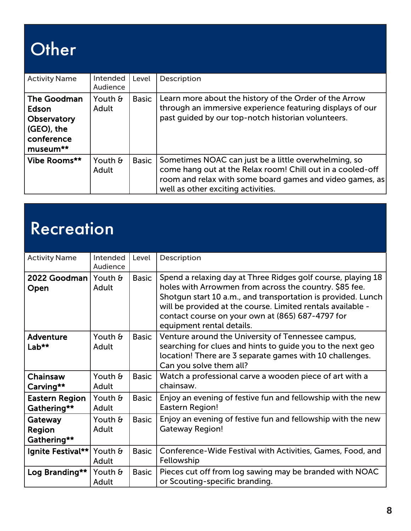# **Other**

| <b>Activity Name</b>                                                                   | Intended<br>Audience | Level        | Description                                                                                                                                                                                                          |
|----------------------------------------------------------------------------------------|----------------------|--------------|----------------------------------------------------------------------------------------------------------------------------------------------------------------------------------------------------------------------|
| <b>The Goodman</b><br>Edson<br>Observatory<br>$ $ (GEO), the<br>conference<br>museum** | Youth &<br>Adult     | <b>Basic</b> | Learn more about the history of the Order of the Arrow<br>through an immersive experience featuring displays of our<br>past guided by our top-notch historian volunteers.                                            |
| Vibe Rooms**                                                                           | Youth &<br>Adult     | <b>Basic</b> | Sometimes NOAC can just be a little overwhelming, so<br>come hang out at the Relax room! Chill out in a cooled-off<br>room and relax with some board games and video games, as<br>well as other exciting activities. |

#### **Recreation**

| <b>Activity Name</b>                 | Intended<br>Audience    | Level        | Description                                                                                                                                                                                                                                                                                                                            |
|--------------------------------------|-------------------------|--------------|----------------------------------------------------------------------------------------------------------------------------------------------------------------------------------------------------------------------------------------------------------------------------------------------------------------------------------------|
| 2022 Goodman Youth $\theta$<br>Open  | Adult                   | <b>Basic</b> | Spend a relaxing day at Three Ridges golf course, playing 18<br>holes with Arrowmen from across the country. \$85 fee.<br>Shotgun start 10 a.m., and transportation is provided. Lunch<br>will be provided at the course. Limited rentals available -<br>contact course on your own at (865) 687-4797 for<br>equipment rental details. |
| <b>Adventure</b><br>Lab**            | Youth &<br>Adult        | <b>Basic</b> | Venture around the University of Tennessee campus,<br>searching for clues and hints to guide you to the next geo<br>location! There are 3 separate games with 10 challenges.<br>Can you solve them all?                                                                                                                                |
| Chainsaw<br>Carving**                | Youth &<br>Adult        | <b>Basic</b> | Watch a professional carve a wooden piece of art with a<br>chainsaw.                                                                                                                                                                                                                                                                   |
| <b>Eastern Region</b><br>Gathering** | Youth &<br>Adult        | <b>Basic</b> | Enjoy an evening of festive fun and fellowship with the new<br>Eastern Region!                                                                                                                                                                                                                                                         |
| Gateway<br>Region<br>Gathering**     | Youth $\theta$<br>Adult | <b>Basic</b> | Enjoy an evening of festive fun and fellowship with the new<br><b>Gateway Region!</b>                                                                                                                                                                                                                                                  |
| Ignite Festival**                    | Youth &<br>Adult        | <b>Basic</b> | Conference-Wide Festival with Activities, Games, Food, and<br>Fellowship                                                                                                                                                                                                                                                               |
| Log Branding**                       | Youth &<br>Adult        | <b>Basic</b> | Pieces cut off from log sawing may be branded with NOAC<br>or Scouting-specific branding.                                                                                                                                                                                                                                              |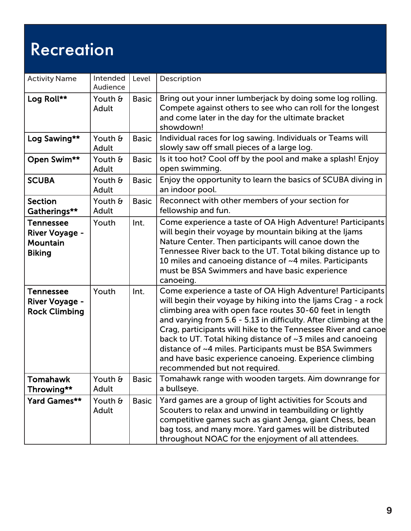#### Recreation

| <b>Activity Name</b>                                                   | Intended<br>Audience | Level        | Description                                                                                                                                                                                                                                                                                                                                                                                                                                                                                                                                        |
|------------------------------------------------------------------------|----------------------|--------------|----------------------------------------------------------------------------------------------------------------------------------------------------------------------------------------------------------------------------------------------------------------------------------------------------------------------------------------------------------------------------------------------------------------------------------------------------------------------------------------------------------------------------------------------------|
| Log Roll**                                                             | Youth &<br>Adult     | <b>Basic</b> | Bring out your inner lumberjack by doing some log rolling.<br>Compete against others to see who can roll for the longest<br>and come later in the day for the ultimate bracket<br>showdown!                                                                                                                                                                                                                                                                                                                                                        |
| Log Sawing**                                                           | Youth &<br>Adult     | <b>Basic</b> | Individual races for log sawing. Individuals or Teams will<br>slowly saw off small pieces of a large log.                                                                                                                                                                                                                                                                                                                                                                                                                                          |
| Open Swim**                                                            | Youth &<br>Adult     | <b>Basic</b> | Is it too hot? Cool off by the pool and make a splash! Enjoy<br>open swimming.                                                                                                                                                                                                                                                                                                                                                                                                                                                                     |
| <b>SCUBA</b>                                                           | Youth &<br>Adult     | <b>Basic</b> | Enjoy the opportunity to learn the basics of SCUBA diving in<br>an indoor pool.                                                                                                                                                                                                                                                                                                                                                                                                                                                                    |
| <b>Section</b><br>Gatherings**                                         | Youth &<br>Adult     | <b>Basic</b> | Reconnect with other members of your section for<br>fellowship and fun.                                                                                                                                                                                                                                                                                                                                                                                                                                                                            |
| <b>Tennessee</b><br><b>River Voyage -</b><br>Mountain<br><b>Biking</b> | Youth                | Int.         | Come experience a taste of OA High Adventure! Participants<br>will begin their voyage by mountain biking at the ljams<br>Nature Center. Then participants will canoe down the<br>Tennessee River back to the UT. Total biking distance up to<br>10 miles and canoeing distance of ~4 miles. Participants<br>must be BSA Swimmers and have basic experience<br>canoeing.                                                                                                                                                                            |
| <b>Tennessee</b><br><b>River Voyage -</b><br><b>Rock Climbing</b>      | Youth                | Int.         | Come experience a taste of OA High Adventure! Participants<br>will begin their voyage by hiking into the Ijams Crag - a rock<br>climbing area with open face routes 30-60 feet in length<br>and varying from 5.6 - 5.13 in difficulty. After climbing at the<br>Crag, participants will hike to the Tennessee River and canoe<br>back to UT. Total hiking distance of ~3 miles and canoeing<br>distance of ~4 miles. Participants must be BSA Swimmers<br>and have basic experience canoeing. Experience climbing<br>recommended but not required. |
| <b>Tomahawk</b><br>Throwing**                                          | Youth &<br>Adult     | <b>Basic</b> | Tomahawk range with wooden targets. Aim downrange for<br>a bullseye.                                                                                                                                                                                                                                                                                                                                                                                                                                                                               |
| Yard Games**                                                           | Youth &<br>Adult     | <b>Basic</b> | Yard games are a group of light activities for Scouts and<br>Scouters to relax and unwind in teambuilding or lightly<br>competitive games such as giant Jenga, giant Chess, bean<br>bag toss, and many more. Yard games will be distributed<br>throughout NOAC for the enjoyment of all attendees.                                                                                                                                                                                                                                                 |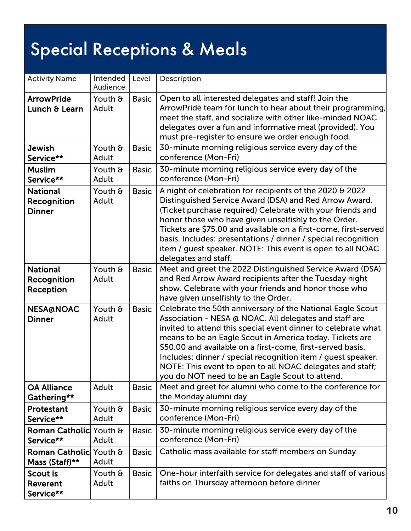# Special Receptions & Meals

| <b>Activity Name</b>                                   | Intended<br>Audience    | Level        | Description                                                                                                                                                                                                                                                                                                                                                                                                                                                                                     |
|--------------------------------------------------------|-------------------------|--------------|-------------------------------------------------------------------------------------------------------------------------------------------------------------------------------------------------------------------------------------------------------------------------------------------------------------------------------------------------------------------------------------------------------------------------------------------------------------------------------------------------|
| <b>ArrowPride</b><br>Lunch & Learn                     | Youth &<br>Adult        | <b>Basic</b> | Open to all interested delegates and staff! Join the<br>ArrowPride team for lunch to hear about their programming,<br>meet the staff, and socialize with other like-minded NOAC<br>delegates over a fun and informative meal (provided). You<br>must pre-register to ensure we order enough food.                                                                                                                                                                                               |
| <b>Jewish</b><br>Service**                             | Youth &<br>Adult        | <b>Basic</b> | 30-minute morning religious service every day of the<br>conference (Mon-Fri)                                                                                                                                                                                                                                                                                                                                                                                                                    |
| <b>Muslim</b><br>Service**                             | Youth &<br>Adult        | <b>Basic</b> | 30-minute morning religious service every day of the<br>conference (Mon-Fri)                                                                                                                                                                                                                                                                                                                                                                                                                    |
| <b>National</b><br><b>Recognition</b><br><b>Dinner</b> | Youth &<br>Adult        | <b>Basic</b> | A night of celebration for recipients of the 2020 & 2022<br>Distinguished Service Award (DSA) and Red Arrow Award.<br>(Ticket purchase required) Celebrate with your friends and<br>honor those who have given unselfishly to the Order.<br>Tickets are \$75.00 and available on a first-come, first-served<br>basis. Includes: presentations / dinner / special recognition<br>item / guest speaker. NOTE: This event is open to all NOAC<br>delegates and staff.                              |
| <b>National</b><br><b>Recognition</b><br>Reception     | Youth &<br>Adult        | <b>Basic</b> | Meet and greet the 2022 Distinguished Service Award (DSA)<br>and Red Arrow Award recipients after the Tuesday night<br>show. Celebrate with your friends and honor those who<br>have given unselfishly to the Order.                                                                                                                                                                                                                                                                            |
| <b>NESA@NOAC</b><br><b>Dinner</b>                      | Youth &<br>Adult        | <b>Basic</b> | Celebrate the 50th anniversary of the National Eagle Scout<br>Association - NESA @ NOAC. All delegates and staff are<br>invited to attend this special event dinner to celebrate what<br>means to be an Eagle Scout in America today. Tickets are<br>\$50.00 and available on a first-come, first-served basis.<br>Includes: dinner / special recognition item / quest speaker.<br>NOTE: This event to open to all NOAC delegates and staff;<br>you do NOT need to be an Eagle Scout to attend. |
| <b>OA Alliance</b><br>Gathering**                      | Adult                   | <b>Basic</b> | Meet and greet for alumni who come to the conference for<br>the Monday alumni day                                                                                                                                                                                                                                                                                                                                                                                                               |
| Protestant<br>Service**                                | Youth &<br>Adult        | <b>Basic</b> | 30-minute morning religious service every day of the<br>conference (Mon-Fri)                                                                                                                                                                                                                                                                                                                                                                                                                    |
| Roman Catholic Youth &<br>Service**                    | Adult                   | <b>Basic</b> | 30-minute morning religious service every day of the<br>conference (Mon-Fri)                                                                                                                                                                                                                                                                                                                                                                                                                    |
| Roman Catholic Youth &<br>Mass (Staff)**               | Adult                   | <b>Basic</b> | Catholic mass available for staff members on Sunday                                                                                                                                                                                                                                                                                                                                                                                                                                             |
| <b>Scout is</b><br>Reverent<br>Service**               | Youth $\theta$<br>Adult | <b>Basic</b> | One-hour interfaith service for delegates and staff of various<br>faiths on Thursday afternoon before dinner                                                                                                                                                                                                                                                                                                                                                                                    |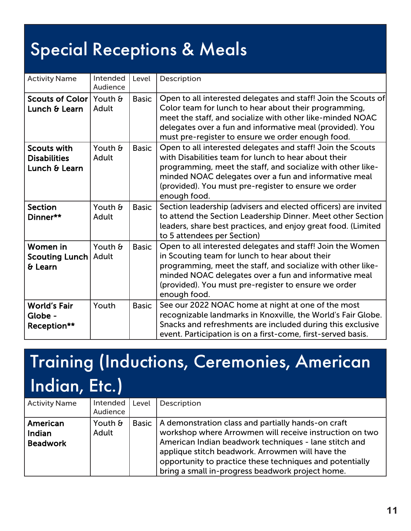#### Special Receptions & Meals

| <b>Activity Name</b>                                       | Intended<br>Audience | Level        | Description                                                                                                                                                                                                                                                                                                         |
|------------------------------------------------------------|----------------------|--------------|---------------------------------------------------------------------------------------------------------------------------------------------------------------------------------------------------------------------------------------------------------------------------------------------------------------------|
| Scouts of Color Youth &<br>Lunch & Learn                   | Adult                | <b>Basic</b> | Open to all interested delegates and staff! Join the Scouts of<br>Color team for lunch to hear about their programming,<br>meet the staff, and socialize with other like-minded NOAC<br>delegates over a fun and informative meal (provided). You<br>must pre-register to ensure we order enough food.              |
| <b>Scouts with</b><br><b>Disabilities</b><br>Lunch & Learn | Youth &<br>Adult     | <b>Basic</b> | Open to all interested delegates and staff! Join the Scouts<br>with Disabilities team for lunch to hear about their<br>programming, meet the staff, and socialize with other like-<br>minded NOAC delegates over a fun and informative meal<br>(provided). You must pre-register to ensure we order<br>enough food. |
| <b>Section</b><br>Dinner**                                 | Youth &<br>Adult     | <b>Basic</b> | Section leadership (advisers and elected officers) are invited<br>to attend the Section Leadership Dinner. Meet other Section<br>leaders, share best practices, and enjoy great food. (Limited<br>to 5 attendees per Section)                                                                                       |
| Women in<br><b>Scouting Lunch</b><br>& Learn               | Youth &<br>Adult     | <b>Basic</b> | Open to all interested delegates and staff! Join the Women<br>in Scouting team for lunch to hear about their<br>programming, meet the staff, and socialize with other like-<br>minded NOAC delegates over a fun and informative meal<br>(provided). You must pre-register to ensure we order<br>enough food.        |
| <b>World's Fair</b><br>Globe -<br>Reception**              | Youth                | <b>Basic</b> | See our 2022 NOAC home at night at one of the most<br>recognizable landmarks in Knoxville, the World's Fair Globe.<br>Snacks and refreshments are included during this exclusive<br>event. Participation is on a first-come, first-served basis.                                                                    |

| <b>Activity Name</b>                  | Intended<br>Audience | Level        | Description                                                                                                                                                                                                                                                                                                                                |
|---------------------------------------|----------------------|--------------|--------------------------------------------------------------------------------------------------------------------------------------------------------------------------------------------------------------------------------------------------------------------------------------------------------------------------------------------|
| American<br>Indian<br><b>Beadwork</b> | Youth &<br>Adult     | <b>Basic</b> | A demonstration class and partially hands-on craft<br>workshop where Arrowmen will receive instruction on two<br>American Indian beadwork techniques - lane stitch and<br>applique stitch beadwork. Arrowmen will have the<br>opportunity to practice these techniques and potentially<br>bring a small in-progress beadwork project home. |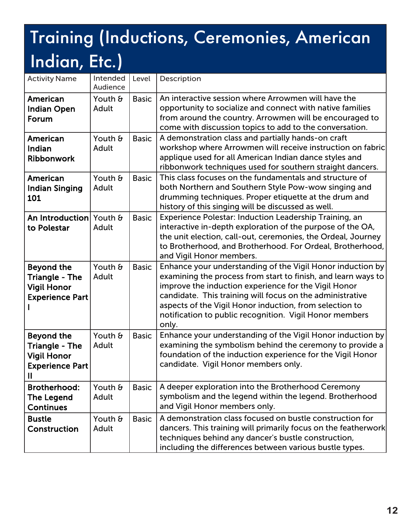| <b>Activity Name</b>                                                                            | Intended<br>Audience | Level        | Description                                                                                                                                                                                                                                                                                                                                                                     |
|-------------------------------------------------------------------------------------------------|----------------------|--------------|---------------------------------------------------------------------------------------------------------------------------------------------------------------------------------------------------------------------------------------------------------------------------------------------------------------------------------------------------------------------------------|
| American<br><b>Indian Open</b><br>Forum                                                         | Youth &<br>Adult     | <b>Basic</b> | An interactive session where Arrowmen will have the<br>opportunity to socialize and connect with native families<br>from around the country. Arrowmen will be encouraged to<br>come with discussion topics to add to the conversation.                                                                                                                                          |
| American<br>Indian<br><b>Ribbonwork</b>                                                         | Youth &<br>Adult     | <b>Basic</b> | A demonstration class and partially hands-on craft<br>workshop where Arrowmen will receive instruction on fabric<br>applique used for all American Indian dance styles and<br>ribbonwork techniques used for southern straight dancers.                                                                                                                                         |
| American<br><b>Indian Singing</b><br>101                                                        | Youth &<br>Adult     | <b>Basic</b> | This class focuses on the fundamentals and structure of<br>both Northern and Southern Style Pow-wow singing and<br>drumming techniques. Proper etiquette at the drum and<br>history of this singing will be discussed as well.                                                                                                                                                  |
| An Introduction Youth &<br>to Polestar                                                          | Adult                | <b>Basic</b> | Experience Polestar: Induction Leadership Training, an<br>interactive in-depth exploration of the purpose of the OA,<br>the unit election, call-out, ceremonies, the Ordeal, Journey<br>to Brotherhood, and Brotherhood. For Ordeal, Brotherhood,<br>and Vigil Honor members.                                                                                                   |
| <b>Beyond the</b><br><b>Triangle - The</b><br><b>Vigil Honor</b><br><b>Experience Part</b>      | Youth &<br>Adult     | <b>Basic</b> | Enhance your understanding of the Vigil Honor induction by<br>examining the process from start to finish, and learn ways to<br>improve the induction experience for the Vigil Honor<br>candidate. This training will focus on the administrative<br>aspects of the Vigil Honor induction, from selection to<br>notification to public recognition. Vigil Honor members<br>only. |
| <b>Beyond the</b><br><b>Triangle - The</b><br><b>Vigil Honor</b><br><b>Experience Part</b><br>Ш | Youth &<br>Adult     | <b>Basic</b> | Enhance your understanding of the Vigil Honor induction by<br>examining the symbolism behind the ceremony to provide a<br>foundation of the induction experience for the Vigil Honor<br>candidate. Vigil Honor members only.                                                                                                                                                    |
| <b>Brotherhood:</b><br><b>The Legend</b><br><b>Continues</b>                                    | Youth &<br>Adult     | <b>Basic</b> | A deeper exploration into the Brotherhood Ceremony<br>symbolism and the legend within the legend. Brotherhood<br>and Vigil Honor members only.                                                                                                                                                                                                                                  |
| <b>Bustle</b><br>Construction                                                                   | Youth &<br>Adult     | <b>Basic</b> | A demonstration class focused on bustle construction for<br>dancers. This training will primarily focus on the featherwork<br>techniques behind any dancer's bustle construction,<br>including the differences between various bustle types.                                                                                                                                    |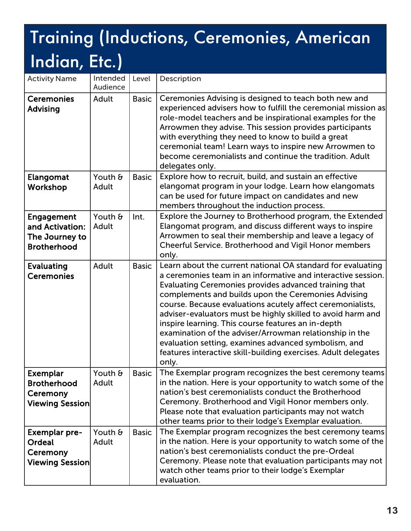| <b>Activity Name</b>                                                         | Intended<br>Audience | Level        | Description                                                                                                                                                                                                                                                                                                                                                                                                                                                                                                                                                                                                                  |
|------------------------------------------------------------------------------|----------------------|--------------|------------------------------------------------------------------------------------------------------------------------------------------------------------------------------------------------------------------------------------------------------------------------------------------------------------------------------------------------------------------------------------------------------------------------------------------------------------------------------------------------------------------------------------------------------------------------------------------------------------------------------|
| <b>Ceremonies</b><br><b>Advising</b>                                         | Adult                | <b>Basic</b> | Ceremonies Advising is designed to teach both new and<br>experienced advisers how to fulfill the ceremonial mission as<br>role-model teachers and be inspirational examples for the<br>Arrowmen they advise. This session provides participants<br>with everything they need to know to build a great<br>ceremonial team! Learn ways to inspire new Arrowmen to<br>become ceremonialists and continue the tradition. Adult<br>delegates only.                                                                                                                                                                                |
| <b>Elangomat</b><br>Workshop                                                 | Youth &<br>Adult     | <b>Basic</b> | Explore how to recruit, build, and sustain an effective<br>elangomat program in your lodge. Learn how elangomats<br>can be used for future impact on candidates and new<br>members throughout the induction process.                                                                                                                                                                                                                                                                                                                                                                                                         |
| <b>Engagement</b><br>and Activation:<br>The Journey to<br><b>Brotherhood</b> | Youth &<br>Adult     | Int.         | Explore the Journey to Brotherhood program, the Extended<br>Elangomat program, and discuss different ways to inspire<br>Arrowmen to seal their membership and leave a legacy of<br>Cheerful Service. Brotherhood and Vigil Honor members<br>only.                                                                                                                                                                                                                                                                                                                                                                            |
| <b>Evaluating</b><br><b>Ceremonies</b>                                       | Adult                | <b>Basic</b> | Learn about the current national OA standard for evaluating<br>a ceremonies team in an informative and interactive session.<br>Evaluating Ceremonies provides advanced training that<br>complements and builds upon the Ceremonies Advising<br>course. Because evaluations acutely affect ceremonialists,<br>adviser-evaluators must be highly skilled to avoid harm and<br>inspire learning. This course features an in-depth<br>examination of the adviser/Arrowman relationship in the<br>evaluation setting, examines advanced symbolism, and<br>features interactive skill-building exercises. Adult delegates<br>only. |
| <b>Exemplar</b><br><b>Brotherhood</b><br>Ceremony<br><b>Viewing Session</b>  | Youth &<br>Adult     | <b>Basic</b> | The Exemplar program recognizes the best ceremony teams<br>in the nation. Here is your opportunity to watch some of the<br>nation's best ceremonialists conduct the Brotherhood<br>Ceremony. Brotherhood and Vigil Honor members only.<br>Please note that evaluation participants may not watch<br>other teams prior to their lodge's Exemplar evaluation.                                                                                                                                                                                                                                                                  |
| <b>Exemplar pre-</b><br>Ordeal<br>Ceremony<br><b>Viewing Session</b>         | Youth &<br>Adult     | <b>Basic</b> | The Exemplar program recognizes the best ceremony teams<br>in the nation. Here is your opportunity to watch some of the<br>nation's best ceremonialists conduct the pre-Ordeal<br>Ceremony. Please note that evaluation participants may not<br>watch other teams prior to their lodge's Exemplar<br>evaluation.                                                                                                                                                                                                                                                                                                             |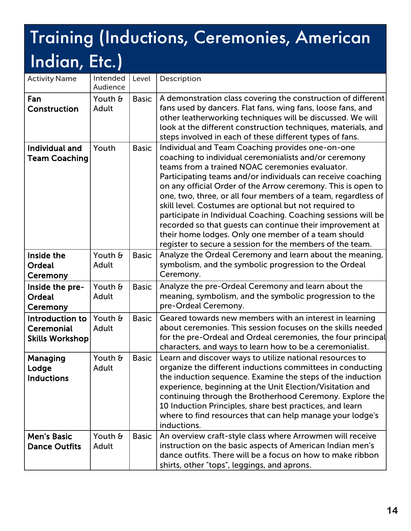| <b>Activity Name</b>                                    | Intended<br>Audience | Level        | Description                                                                                                                                                                                                                                                                                                                                                                                                                                                                                                                                                                                                                                                              |
|---------------------------------------------------------|----------------------|--------------|--------------------------------------------------------------------------------------------------------------------------------------------------------------------------------------------------------------------------------------------------------------------------------------------------------------------------------------------------------------------------------------------------------------------------------------------------------------------------------------------------------------------------------------------------------------------------------------------------------------------------------------------------------------------------|
| Fan<br>Construction                                     | Youth &<br>Adult     | <b>Basic</b> | A demonstration class covering the construction of different<br>fans used by dancers. Flat fans, wing fans, loose fans, and<br>other leatherworking techniques will be discussed. We will<br>look at the different construction techniques, materials, and<br>steps involved in each of these different types of fans.                                                                                                                                                                                                                                                                                                                                                   |
| Individual and<br><b>Team Coaching</b>                  | Youth                | <b>Basic</b> | Individual and Team Coaching provides one-on-one<br>coaching to individual ceremonialists and/or ceremony<br>teams from a trained NOAC ceremonies evaluator.<br>Participating teams and/or individuals can receive coaching<br>on any official Order of the Arrow ceremony. This is open to<br>one, two, three, or all four members of a team, regardless of<br>skill level. Costumes are optional but not required to<br>participate in Individual Coaching. Coaching sessions will be<br>recorded so that guests can continue their improvement at<br>their home lodges. Only one member of a team should<br>register to secure a session for the members of the team. |
| Inside the<br>Ordeal<br>Ceremony                        | Youth &<br>Adult     | <b>Basic</b> | Analyze the Ordeal Ceremony and learn about the meaning,<br>symbolism, and the symbolic progression to the Ordeal<br>Ceremony.                                                                                                                                                                                                                                                                                                                                                                                                                                                                                                                                           |
| Inside the pre-<br><b>Ordeal</b><br>Ceremony            | Youth &<br>Adult     | <b>Basic</b> | Analyze the pre-Ordeal Ceremony and learn about the<br>meaning, symbolism, and the symbolic progression to the<br>pre-Ordeal Ceremony.                                                                                                                                                                                                                                                                                                                                                                                                                                                                                                                                   |
| Introduction to<br>Ceremonial<br><b>Skills Workshop</b> | Youth &<br>Adult     | <b>Basic</b> | Geared towards new members with an interest in learning<br>about ceremonies. This session focuses on the skills needed<br>for the pre-Ordeal and Ordeal ceremonies, the four principal<br>characters, and ways to learn how to be a ceremonialist.                                                                                                                                                                                                                                                                                                                                                                                                                       |
| Managing<br>Lodge<br><b>Inductions</b>                  | Youth &<br>Adult     | <b>Basic</b> | Learn and discover ways to utilize national resources to<br>organize the different inductions committees in conducting<br>the induction sequence. Examine the steps of the induction<br>experience, beginning at the Unit Election/Visitation and<br>continuing through the Brotherhood Ceremony. Explore the<br>10 Induction Principles, share best practices, and learn<br>where to find resources that can help manage your lodge's<br>inductions.                                                                                                                                                                                                                    |
| <b>Men's Basic</b><br><b>Dance Outfits</b>              | Youth &<br>Adult     | <b>Basic</b> | An overview craft-style class where Arrowmen will receive<br>instruction on the basic aspects of American Indian men's<br>dance outfits. There will be a focus on how to make ribbon<br>shirts, other "tops", leggings, and aprons.                                                                                                                                                                                                                                                                                                                                                                                                                                      |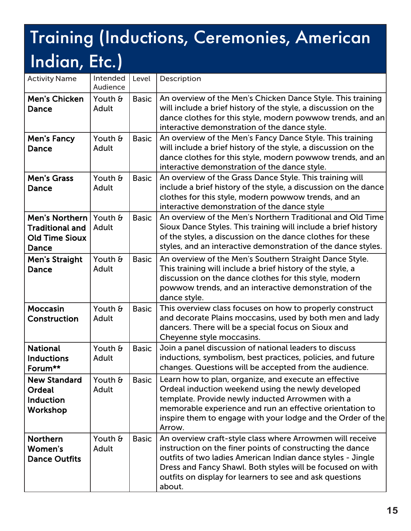| <b>Activity Name</b>                                                       | Intended<br>Audience | Level        | Description                                                                                                                                                                                                                                                                                                               |
|----------------------------------------------------------------------------|----------------------|--------------|---------------------------------------------------------------------------------------------------------------------------------------------------------------------------------------------------------------------------------------------------------------------------------------------------------------------------|
| <b>Men's Chicken</b><br>Dance                                              | Youth &<br>Adult     | <b>Basic</b> | An overview of the Men's Chicken Dance Style. This training<br>will include a brief history of the style, a discussion on the<br>dance clothes for this style, modern powwow trends, and an<br>interactive demonstration of the dance style.                                                                              |
| <b>Men's Fancy</b><br>Dance                                                | Youth &<br>Adult     | <b>Basic</b> | An overview of the Men's Fancy Dance Style. This training<br>will include a brief history of the style, a discussion on the<br>dance clothes for this style, modern powwow trends, and an<br>interactive demonstration of the dance style.                                                                                |
| <b>Men's Grass</b><br>Dance                                                | Youth &<br>Adult     | <b>Basic</b> | An overview of the Grass Dance Style. This training will<br>include a brief history of the style, a discussion on the dance<br>clothes for this style, modern powwow trends, and an<br>interactive demonstration of the dance style                                                                                       |
| Men's Northern<br><b>Traditional and</b><br><b>Old Time Sioux</b><br>Dance | Youth &<br>Adult     | <b>Basic</b> | An overview of the Men's Northern Traditional and Old Time<br>Sioux Dance Styles. This training will include a brief history<br>of the styles, a discussion on the dance clothes for these<br>styles, and an interactive demonstration of the dance styles.                                                               |
| <b>Men's Straight</b><br><b>Dance</b>                                      | Youth &<br>Adult     | <b>Basic</b> | An overview of the Men's Southern Straight Dance Style.<br>This training will include a brief history of the style, a<br>discussion on the dance clothes for this style, modern<br>powwow trends, and an interactive demonstration of the<br>dance style.                                                                 |
| <b>Moccasin</b><br>Construction                                            | Youth &<br>Adult     | <b>Basic</b> | This overview class focuses on how to properly construct<br>and decorate Plains moccasins, used by both men and lady<br>dancers. There will be a special focus on Sioux and<br>Cheyenne style moccasins.                                                                                                                  |
| <b>National</b><br><b>Inductions</b><br>Forum**                            | Youth &<br>Adult     | <b>Basic</b> | Join a panel discussion of national leaders to discuss<br>inductions, symbolism, best practices, policies, and future<br>changes. Questions will be accepted from the audience.                                                                                                                                           |
| <b>New Standard</b><br>Ordeal<br><b>Induction</b><br>Workshop              | Youth &<br>Adult     | <b>Basic</b> | Learn how to plan, organize, and execute an effective<br>Ordeal induction weekend using the newly developed<br>template. Provide newly inducted Arrowmen with a<br>memorable experience and run an effective orientation to<br>inspire them to engage with your lodge and the Order of the<br>Arrow.                      |
| <b>Northern</b><br>Women's<br><b>Dance Outfits</b>                         | Youth &<br>Adult     | <b>Basic</b> | An overview craft-style class where Arrowmen will receive<br>instruction on the finer points of constructing the dance<br>outfits of two ladies American Indian dance styles - Jingle<br>Dress and Fancy Shawl. Both styles will be focused on with<br>outfits on display for learners to see and ask questions<br>about. |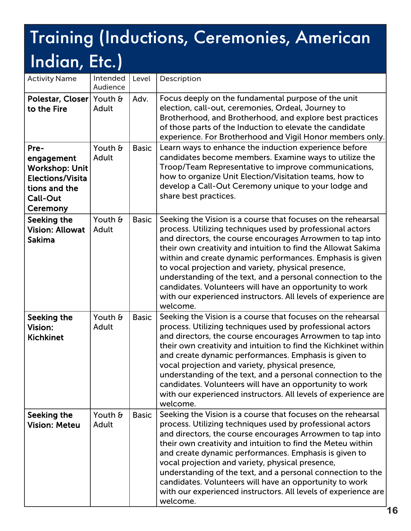| <b>Activity Name</b>                                                                                                   | Intended<br>Audience | Level        | Description                                                                                                                                                                                                                                                                                                                                                                                                                                                                                                                                                                         |
|------------------------------------------------------------------------------------------------------------------------|----------------------|--------------|-------------------------------------------------------------------------------------------------------------------------------------------------------------------------------------------------------------------------------------------------------------------------------------------------------------------------------------------------------------------------------------------------------------------------------------------------------------------------------------------------------------------------------------------------------------------------------------|
| Polestar, Closer Youth &<br>to the Fire                                                                                | Adult                | Adv.         | Focus deeply on the fundamental purpose of the unit<br>election, call-out, ceremonies, Ordeal, Journey to<br>Brotherhood, and Brotherhood, and explore best practices<br>of those parts of the Induction to elevate the candidate<br>experience. For Brotherhood and Vigil Honor members only.                                                                                                                                                                                                                                                                                      |
| Pre-<br>engagement<br><b>Workshop: Unit</b><br><b>Elections/Visita</b><br>tions and the<br><b>Call-Out</b><br>Ceremony | Youth &<br>Adult     | <b>Basic</b> | Learn ways to enhance the induction experience before<br>candidates become members. Examine ways to utilize the<br>Troop/Team Representative to improve communications,<br>how to organize Unit Election/Visitation teams, how to<br>develop a Call-Out Ceremony unique to your lodge and<br>share best practices.                                                                                                                                                                                                                                                                  |
| Seeking the<br><b>Vision: Allowat</b><br><b>Sakima</b>                                                                 | Youth &<br>Adult     | <b>Basic</b> | Seeking the Vision is a course that focuses on the rehearsal<br>process. Utilizing techniques used by professional actors<br>and directors, the course encourages Arrowmen to tap into<br>their own creativity and intuition to find the Allowat Sakima<br>within and create dynamic performances. Emphasis is given<br>to vocal projection and variety, physical presence,<br>understanding of the text, and a personal connection to the<br>candidates. Volunteers will have an opportunity to work<br>with our experienced instructors. All levels of experience are<br>welcome. |
| Seeking the<br>Vision:<br><b>Kichkinet</b>                                                                             | Youth &<br>Adult     | <b>Basic</b> | Seeking the Vision is a course that focuses on the rehearsal<br>process. Utilizing techniques used by professional actors<br>and directors, the course encourages Arrowmen to tap into<br>their own creativity and intuition to find the Kichkinet within<br>and create dynamic performances. Emphasis is given to<br>vocal projection and variety, physical presence,<br>understanding of the text, and a personal connection to the<br>candidates. Volunteers will have an opportunity to work<br>with our experienced instructors. All levels of experience are<br>welcome.      |
| Seeking the<br><b>Vision: Meteu</b>                                                                                    | Youth &<br>Adult     | <b>Basic</b> | Seeking the Vision is a course that focuses on the rehearsal<br>process. Utilizing techniques used by professional actors<br>and directors, the course encourages Arrowmen to tap into<br>their own creativity and intuition to find the Meteu within<br>and create dynamic performances. Emphasis is given to<br>vocal projection and variety, physical presence,<br>understanding of the text, and a personal connection to the<br>candidates. Volunteers will have an opportunity to work<br>with our experienced instructors. All levels of experience are<br>welcome.          |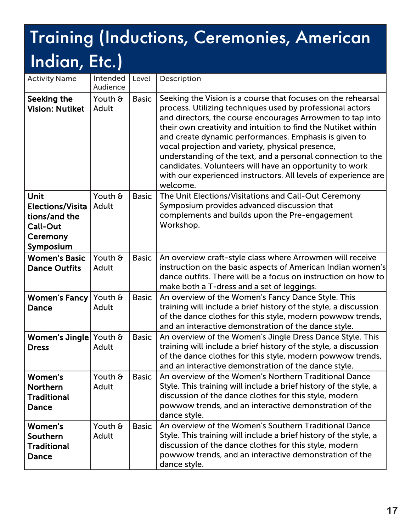| <b>Activity Name</b>                                                                  | Intended<br>Audience | Level        | Description                                                                                                                                                                                                                                                                                                                                                                                                                                                                                                                                                                  |
|---------------------------------------------------------------------------------------|----------------------|--------------|------------------------------------------------------------------------------------------------------------------------------------------------------------------------------------------------------------------------------------------------------------------------------------------------------------------------------------------------------------------------------------------------------------------------------------------------------------------------------------------------------------------------------------------------------------------------------|
| Seeking the<br><b>Vision: Nutiket</b>                                                 | Youth &<br>Adult     | <b>Basic</b> | Seeking the Vision is a course that focuses on the rehearsal<br>process. Utilizing techniques used by professional actors<br>and directors, the course encourages Arrowmen to tap into<br>their own creativity and intuition to find the Nutiket within<br>and create dynamic performances. Emphasis is given to<br>vocal projection and variety, physical presence,<br>understanding of the text, and a personal connection to the<br>candidates. Volunteers will have an opportunity to work<br>with our experienced instructors. All levels of experience are<br>welcome. |
| Unit<br><b>Elections/Visita</b><br>tions/and the<br>Call-Out<br>Ceremony<br>Symposium | Youth &<br>Adult     | <b>Basic</b> | The Unit Elections/Visitations and Call-Out Ceremony<br>Symposium provides advanced discussion that<br>complements and builds upon the Pre-engagement<br>Workshop.                                                                                                                                                                                                                                                                                                                                                                                                           |
| <b>Women's Basic</b><br><b>Dance Outfits</b>                                          | Youth &<br>Adult     | <b>Basic</b> | An overview craft-style class where Arrowmen will receive<br>instruction on the basic aspects of American Indian women's<br>dance outfits. There will be a focus on instruction on how to<br>make both a T-dress and a set of leggings.                                                                                                                                                                                                                                                                                                                                      |
| Women's Fancy Youth &<br>Dance                                                        | Adult                | <b>Basic</b> | An overview of the Women's Fancy Dance Style. This<br>training will include a brief history of the style, a discussion<br>of the dance clothes for this style, modern powwow trends,<br>and an interactive demonstration of the dance style.                                                                                                                                                                                                                                                                                                                                 |
| Women's Jingle Youth &<br><b>Dress</b>                                                | Adult                | <b>Basic</b> | An overview of the Women's Jingle Dress Dance Style. This<br>training will include a brief history of the style, a discussion<br>of the dance clothes for this style, modern powwow trends,<br>and an interactive demonstration of the dance style.                                                                                                                                                                                                                                                                                                                          |
| Women's<br><b>Northern</b><br><b>Traditional</b><br><b>Dance</b>                      | Youth &<br>Adult     | <b>Basic</b> | An overview of the Women's Northern Traditional Dance<br>Style. This training will include a brief history of the style, a<br>discussion of the dance clothes for this style, modern<br>powwow trends, and an interactive demonstration of the<br>dance style.                                                                                                                                                                                                                                                                                                               |
| Women's<br>Southern<br><b>Traditional</b><br><b>Dance</b>                             | Youth &<br>Adult     | <b>Basic</b> | An overview of the Women's Southern Traditional Dance<br>Style. This training will include a brief history of the style, a<br>discussion of the dance clothes for this style, modern<br>powwow trends, and an interactive demonstration of the<br>dance style.                                                                                                                                                                                                                                                                                                               |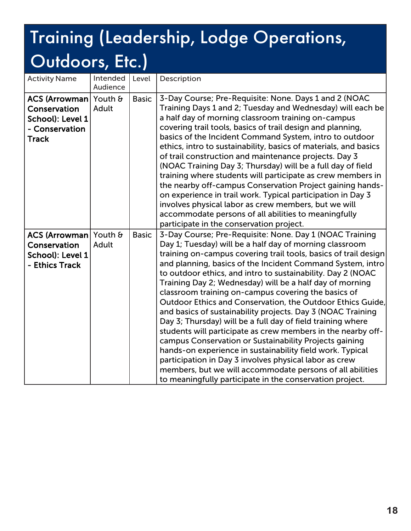| <b>Activity Name</b>                                                                        | Intended<br>Audience | Level        | Description                                                                                                                                                                                                                                                                                                                                                                                                                                                                                                                                                                                                                                                                                                                                                                                                                                                                                                                                                                                                 |
|---------------------------------------------------------------------------------------------|----------------------|--------------|-------------------------------------------------------------------------------------------------------------------------------------------------------------------------------------------------------------------------------------------------------------------------------------------------------------------------------------------------------------------------------------------------------------------------------------------------------------------------------------------------------------------------------------------------------------------------------------------------------------------------------------------------------------------------------------------------------------------------------------------------------------------------------------------------------------------------------------------------------------------------------------------------------------------------------------------------------------------------------------------------------------|
| ACS (Arrowman Youth &<br>Conservation<br>School): Level 1<br>- Conservation<br><b>Track</b> | Adult                | <b>Basic</b> | 3-Day Course; Pre-Requisite: None. Days 1 and 2 (NOAC<br>Training Days 1 and 2; Tuesday and Wednesday) will each be<br>a half day of morning classroom training on-campus<br>covering trail tools, basics of trail design and planning,<br>basics of the Incident Command System, intro to outdoor<br>ethics, intro to sustainability, basics of materials, and basics<br>of trail construction and maintenance projects. Day 3<br>(NOAC Training Day 3; Thursday) will be a full day of field<br>training where students will participate as crew members in<br>the nearby off-campus Conservation Project gaining hands-<br>on experience in trail work. Typical participation in Day 3<br>involves physical labor as crew members, but we will<br>accommodate persons of all abilities to meaningfully<br>participate in the conservation project.                                                                                                                                                       |
| ACS (Arrowman Youth &<br>Conservation<br>School): Level 1<br>- Ethics Track                 | Adult                | <b>Basic</b> | 3-Day Course; Pre-Requisite: None. Day 1 (NOAC Training<br>Day 1; Tuesday) will be a half day of morning classroom<br>training on-campus covering trail tools, basics of trail design<br>and planning, basics of the Incident Command System, intro<br>to outdoor ethics, and intro to sustainability. Day 2 (NOAC<br>Training Day 2; Wednesday) will be a half day of morning<br>classroom training on-campus covering the basics of<br>Outdoor Ethics and Conservation, the Outdoor Ethics Guide,<br>and basics of sustainability projects. Day 3 (NOAC Training<br>Day 3; Thursday) will be a full day of field training where<br>students will participate as crew members in the nearby off-<br>campus Conservation or Sustainability Projects gaining<br>hands-on experience in sustainability field work. Typical<br>participation in Day 3 involves physical labor as crew<br>members, but we will accommodate persons of all abilities<br>to meaningfully participate in the conservation project. |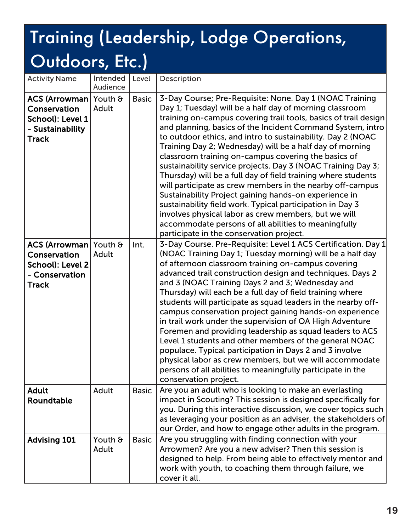| <b>Activity Name</b>                                                                          | Intended<br>Audience | Level        | Description                                                                                                                                                                                                                                                                                                                                                                                                                                                                                                                                                                                                                                                                                                                                                                                                                                                                                                           |
|-----------------------------------------------------------------------------------------------|----------------------|--------------|-----------------------------------------------------------------------------------------------------------------------------------------------------------------------------------------------------------------------------------------------------------------------------------------------------------------------------------------------------------------------------------------------------------------------------------------------------------------------------------------------------------------------------------------------------------------------------------------------------------------------------------------------------------------------------------------------------------------------------------------------------------------------------------------------------------------------------------------------------------------------------------------------------------------------|
| ACS (Arrowman Youth &<br>Conservation<br>School): Level 1<br>- Sustainability<br><b>Track</b> | Adult                | <b>Basic</b> | 3-Day Course; Pre-Requisite: None. Day 1 (NOAC Training<br>Day 1; Tuesday) will be a half day of morning classroom<br>training on-campus covering trail tools, basics of trail design<br>and planning, basics of the Incident Command System, intro<br>to outdoor ethics, and intro to sustainability. Day 2 (NOAC<br>Training Day 2; Wednesday) will be a half day of morning<br>classroom training on-campus covering the basics of<br>sustainability service projects. Day 3 (NOAC Training Day 3;<br>Thursday) will be a full day of field training where students<br>will participate as crew members in the nearby off-campus<br>Sustainability Project gaining hands-on experience in<br>sustainability field work. Typical participation in Day 3<br>involves physical labor as crew members, but we will<br>accommodate persons of all abilities to meaningfully<br>participate in the conservation project. |
| ACS (Arrowman Youth &<br>Conservation<br>School): Level 2<br>- Conservation<br><b>Track</b>   | Adult                | Int.         | 3-Day Course. Pre-Requisite: Level 1 ACS Certification. Day 1<br>(NOAC Training Day 1; Tuesday morning) will be a half day<br>of afternoon classroom training on-campus covering<br>advanced trail construction design and techniques. Days 2<br>and 3 (NOAC Training Days 2 and 3; Wednesday and<br>Thursday) will each be a full day of field training where<br>students will participate as squad leaders in the nearby off-<br>campus conservation project gaining hands-on experience<br>in trail work under the supervision of OA High Adventure<br>Foremen and providing leadership as squad leaders to ACS<br>Level 1 students and other members of the general NOAC<br>populace. Typical participation in Days 2 and 3 involve<br>physical labor as crew members, but we will accommodate<br>persons of all abilities to meaningfully participate in the<br>conservation project.                            |
| <b>Adult</b><br>Roundtable                                                                    | Adult                | <b>Basic</b> | Are you an adult who is looking to make an everlasting<br>impact in Scouting? This session is designed specifically for<br>you. During this interactive discussion, we cover topics such<br>as leveraging your position as an adviser, the stakeholders of<br>our Order, and how to engage other adults in the program.                                                                                                                                                                                                                                                                                                                                                                                                                                                                                                                                                                                               |
| <b>Advising 101</b>                                                                           | Youth &<br>Adult     | <b>Basic</b> | Are you struggling with finding connection with your<br>Arrowmen? Are you a new adviser? Then this session is<br>designed to help. From being able to effectively mentor and<br>work with youth, to coaching them through failure, we<br>cover it all.                                                                                                                                                                                                                                                                                                                                                                                                                                                                                                                                                                                                                                                                |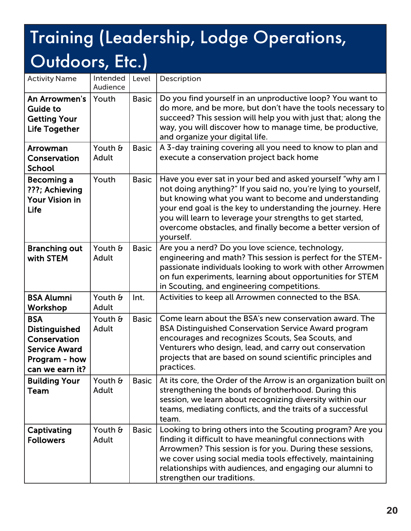| <b>Activity Name</b>                                                                                           | Intended<br>Audience | Level        | Description                                                                                                                                                                                                                                                                                                                                                                                  |
|----------------------------------------------------------------------------------------------------------------|----------------------|--------------|----------------------------------------------------------------------------------------------------------------------------------------------------------------------------------------------------------------------------------------------------------------------------------------------------------------------------------------------------------------------------------------------|
| An Arrowmen's<br><b>Guide to</b><br><b>Getting Your</b><br><b>Life Together</b>                                | Youth                | <b>Basic</b> | Do you find yourself in an unproductive loop? You want to<br>do more, and be more, but don't have the tools necessary to<br>succeed? This session will help you with just that; along the<br>way, you will discover how to manage time, be productive,<br>and organize your digital life.                                                                                                    |
| Arrowman<br>Conservation<br><b>School</b>                                                                      | Youth &<br>Adult     | <b>Basic</b> | A 3-day training covering all you need to know to plan and<br>execute a conservation project back home                                                                                                                                                                                                                                                                                       |
| Becoming a<br>???; Achieving<br><b>Your Vision in</b><br>Life                                                  | Youth                | <b>Basic</b> | Have you ever sat in your bed and asked yourself "why am I<br>not doing anything?" If you said no, you're lying to yourself,<br>but knowing what you want to become and understanding<br>your end goal is the key to understanding the journey. Here<br>you will learn to leverage your strengths to get started,<br>overcome obstacles, and finally become a better version of<br>yourself. |
| <b>Branching out</b><br>with STEM                                                                              | Youth &<br>Adult     | <b>Basic</b> | Are you a nerd? Do you love science, technology,<br>engineering and math? This session is perfect for the STEM-<br>passionate individuals looking to work with other Arrowmen<br>on fun experiments, learning about opportunities for STEM<br>in Scouting, and engineering competitions.                                                                                                     |
| <b>BSA Alumni</b><br>Workshop                                                                                  | Youth &<br>Adult     | Int.         | Activities to keep all Arrowmen connected to the BSA.                                                                                                                                                                                                                                                                                                                                        |
| <b>BSA</b><br><b>Distinguished</b><br>Conservation<br><b>Service Award</b><br>Program - how<br>can we earn it? | Youth &<br>Adult     | <b>Basic</b> | Come learn about the BSA's new conservation award. The<br><b>BSA Distinguished Conservation Service Award program</b><br>encourages and recognizes Scouts, Sea Scouts, and<br>Venturers who design, lead, and carry out conservation<br>projects that are based on sound scientific principles and<br>practices.                                                                             |
| <b>Building Your</b><br>Team                                                                                   | Youth &<br>Adult     | <b>Basic</b> | At its core, the Order of the Arrow is an organization built on<br>strengthening the bonds of brotherhood. During this<br>session, we learn about recognizing diversity within our<br>teams, mediating conflicts, and the traits of a successful<br>team.                                                                                                                                    |
| Captivating<br><b>Followers</b>                                                                                | Youth &<br>Adult     | <b>Basic</b> | Looking to bring others into the Scouting program? Are you<br>finding it difficult to have meaningful connections with<br>Arrowmen? This session is for you. During these sessions,<br>we cover using social media tools effectively, maintaining<br>relationships with audiences, and engaging our alumni to<br>strengthen our traditions.                                                  |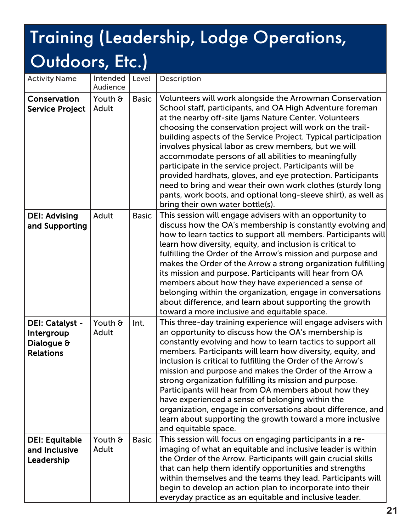| <b>Activity Name</b>                                            | Intended<br>Audience | Level        | Description                                                                                                                                                                                                                                                                                                                                                                                                                                                                                                                                                                                                                                                                                                                   |
|-----------------------------------------------------------------|----------------------|--------------|-------------------------------------------------------------------------------------------------------------------------------------------------------------------------------------------------------------------------------------------------------------------------------------------------------------------------------------------------------------------------------------------------------------------------------------------------------------------------------------------------------------------------------------------------------------------------------------------------------------------------------------------------------------------------------------------------------------------------------|
| Conservation<br><b>Service Project</b>                          | Youth &<br>Adult     | <b>Basic</b> | Volunteers will work alongside the Arrowman Conservation<br>School staff, participants, and OA High Adventure foreman<br>at the nearby off-site Ijams Nature Center. Volunteers<br>choosing the conservation project will work on the trail-<br>building aspects of the Service Project. Typical participation<br>involves physical labor as crew members, but we will<br>accommodate persons of all abilities to meaningfully<br>participate in the service project. Participants will be<br>provided hardhats, gloves, and eye protection. Participants<br>need to bring and wear their own work clothes (sturdy long<br>pants, work boots, and optional long-sleeve shirt), as well as<br>bring their own water bottle(s). |
| <b>DEI: Advising</b><br>and Supporting                          | Adult                | <b>Basic</b> | This session will engage advisers with an opportunity to<br>discuss how the OA's membership is constantly evolving and<br>how to learn tactics to support all members. Participants will<br>learn how diversity, equity, and inclusion is critical to<br>fulfilling the Order of the Arrow's mission and purpose and<br>makes the Order of the Arrow a strong organization fulfilling<br>its mission and purpose. Participants will hear from OA<br>members about how they have experienced a sense of<br>belonging within the organization, engage in conversations<br>about difference, and learn about supporting the growth<br>toward a more inclusive and equitable space.                                               |
| DEI: Catalyst -<br>Intergroup<br>Dialogue &<br><b>Relations</b> | Youth &<br>Adult     | Int.         | This three-day training experience will engage advisers with<br>an opportunity to discuss how the OA's membership is<br>constantly evolving and how to learn tactics to support all<br>members. Participants will learn how diversity, equity, and<br>inclusion is critical to fulfilling the Order of the Arrow's<br>mission and purpose and makes the Order of the Arrow a<br>strong organization fulfilling its mission and purpose.<br>Participants will hear from OA members about how they<br>have experienced a sense of belonging within the<br>organization, engage in conversations about difference, and<br>learn about supporting the growth toward a more inclusive<br>and equitable space.                      |
| <b>DEI: Equitable</b><br>and Inclusive<br>Leadership            | Youth &<br>Adult     | <b>Basic</b> | This session will focus on engaging participants in a re-<br>imaging of what an equitable and inclusive leader is within<br>the Order of the Arrow. Participants will gain crucial skills<br>that can help them identify opportunities and strengths<br>within themselves and the teams they lead. Participants will<br>begin to develop an action plan to incorporate into their<br>everyday practice as an equitable and inclusive leader.                                                                                                                                                                                                                                                                                  |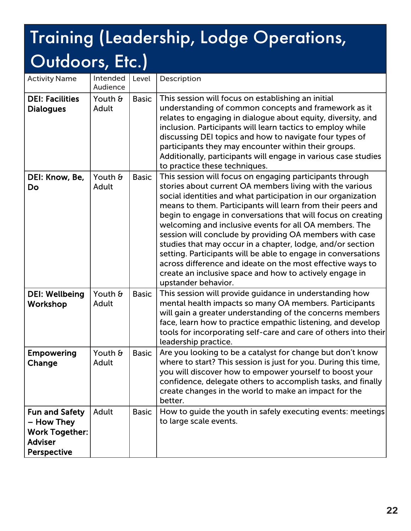| <b>Activity Name</b>                                                                                 | Intended<br>Audience | Level        | Description                                                                                                                                                                                                                                                                                                                                                                                                                                                                                                                                                                                                                                                                                                             |
|------------------------------------------------------------------------------------------------------|----------------------|--------------|-------------------------------------------------------------------------------------------------------------------------------------------------------------------------------------------------------------------------------------------------------------------------------------------------------------------------------------------------------------------------------------------------------------------------------------------------------------------------------------------------------------------------------------------------------------------------------------------------------------------------------------------------------------------------------------------------------------------------|
| <b>DEI: Facilities</b><br><b>Dialogues</b>                                                           | Youth &<br>Adult     | <b>Basic</b> | This session will focus on establishing an initial<br>understanding of common concepts and framework as it<br>relates to engaging in dialogue about equity, diversity, and<br>inclusion. Participants will learn tactics to employ while<br>discussing DEI topics and how to navigate four types of<br>participants they may encounter within their groups.<br>Additionally, participants will engage in various case studies<br>to practice these techniques.                                                                                                                                                                                                                                                          |
| DEI: Know, Be,<br>Do                                                                                 | Youth &<br>Adult     | <b>Basic</b> | This session will focus on engaging participants through<br>stories about current OA members living with the various<br>social identities and what participation in our organization<br>means to them. Participants will learn from their peers and<br>begin to engage in conversations that will focus on creating<br>welcoming and inclusive events for all OA members. The<br>session will conclude by providing OA members with case<br>studies that may occur in a chapter, lodge, and/or section<br>setting. Participants will be able to engage in conversations<br>across difference and ideate on the most effective ways to<br>create an inclusive space and how to actively engage in<br>upstander behavior. |
| <b>DEI: Wellbeing</b><br>Workshop                                                                    | Youth &<br>Adult     | <b>Basic</b> | This session will provide guidance in understanding how<br>mental health impacts so many OA members. Participants<br>will gain a greater understanding of the concerns members<br>face, learn how to practice empathic listening, and develop<br>tools for incorporating self-care and care of others into their<br>leadership practice.                                                                                                                                                                                                                                                                                                                                                                                |
| <b>Empowering</b><br>Change                                                                          | Youth &<br>Adult     | <b>Basic</b> | Are you looking to be a catalyst for change but don't know<br>where to start? This session is just for you. During this time,<br>you will discover how to empower yourself to boost your<br>confidence, delegate others to accomplish tasks, and finally<br>create changes in the world to make an impact for the<br>better.                                                                                                                                                                                                                                                                                                                                                                                            |
| <b>Fun and Safety</b><br>– How They<br><b>Work Together:</b><br><b>Adviser</b><br><b>Perspective</b> | Adult                | <b>Basic</b> | How to guide the youth in safely executing events: meetings<br>to large scale events.                                                                                                                                                                                                                                                                                                                                                                                                                                                                                                                                                                                                                                   |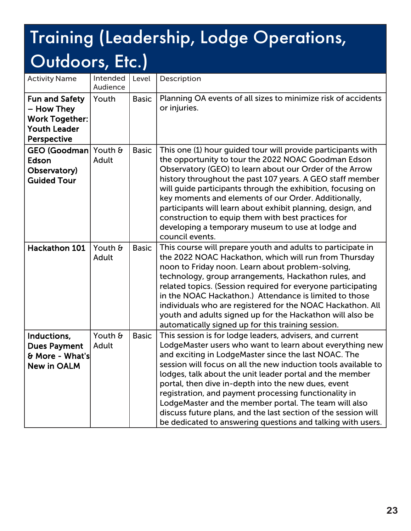| <b>Activity Name</b>                                                                                      | Intended<br>Audience | Level        | Description                                                                                                                                                                                                                                                                                                                                                                                                                                                                                                                                                                                                          |
|-----------------------------------------------------------------------------------------------------------|----------------------|--------------|----------------------------------------------------------------------------------------------------------------------------------------------------------------------------------------------------------------------------------------------------------------------------------------------------------------------------------------------------------------------------------------------------------------------------------------------------------------------------------------------------------------------------------------------------------------------------------------------------------------------|
| <b>Fun and Safety</b><br>- How They<br><b>Work Together:</b><br><b>Youth Leader</b><br><b>Perspective</b> | Youth                | <b>Basic</b> | Planning OA events of all sizes to minimize risk of accidents<br>or injuries.                                                                                                                                                                                                                                                                                                                                                                                                                                                                                                                                        |
| GEO (Goodman) Youth &<br>Edson<br>Observatory)<br><b>Guided Tour</b>                                      | Adult                | <b>Basic</b> | This one (1) hour guided tour will provide participants with<br>the opportunity to tour the 2022 NOAC Goodman Edson<br>Observatory (GEO) to learn about our Order of the Arrow<br>history throughout the past 107 years. A GEO staff member<br>will guide participants through the exhibition, focusing on<br>key moments and elements of our Order. Additionally,<br>participants will learn about exhibit planning, design, and<br>construction to equip them with best practices for<br>developing a temporary museum to use at lodge and<br>council events.                                                      |
| Hackathon 101                                                                                             | Youth &<br>Adult     | <b>Basic</b> | This course will prepare youth and adults to participate in<br>the 2022 NOAC Hackathon, which will run from Thursday<br>noon to Friday noon. Learn about problem-solving,<br>technology, group arrangements, Hackathon rules, and<br>related topics. (Session required for everyone participating<br>in the NOAC Hackathon.) Attendance is limited to those<br>individuals who are registered for the NOAC Hackathon. All<br>youth and adults signed up for the Hackathon will also be<br>automatically signed up for this training session.                                                                         |
| Inductions,<br><b>Dues Payment</b><br>& More - What's<br><b>New in OALM</b>                               | Youth &<br>Adult     | <b>Basic</b> | This session is for lodge leaders, advisers, and current<br>LodgeMaster users who want to learn about everything new<br>and exciting in LodgeMaster since the last NOAC. The<br>session will focus on all the new induction tools available to<br>lodges, talk about the unit leader portal and the member<br>portal, then dive in-depth into the new dues, event<br>registration, and payment processing functionality in<br>LodgeMaster and the member portal. The team will also<br>discuss future plans, and the last section of the session will<br>be dedicated to answering questions and talking with users. |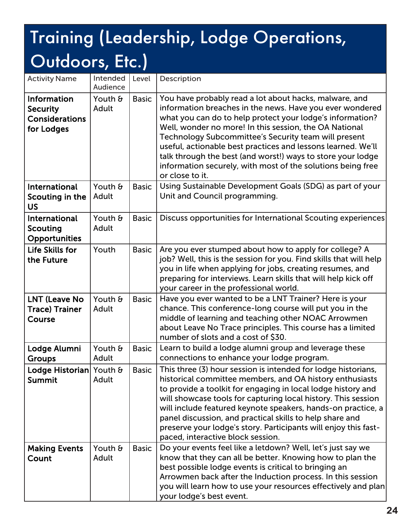| <b>Activity Name</b>                                                         | Intended<br>Audience | Level        | Description                                                                                                                                                                                                                                                                                                                                                                                                                                                                                                        |
|------------------------------------------------------------------------------|----------------------|--------------|--------------------------------------------------------------------------------------------------------------------------------------------------------------------------------------------------------------------------------------------------------------------------------------------------------------------------------------------------------------------------------------------------------------------------------------------------------------------------------------------------------------------|
| <b>Information</b><br><b>Security</b><br><b>Considerations</b><br>for Lodges | Youth &<br>Adult     | <b>Basic</b> | You have probably read a lot about hacks, malware, and<br>information breaches in the news. Have you ever wondered<br>what you can do to help protect your lodge's information?<br>Well, wonder no more! In this session, the OA National<br>Technology Subcommittee's Security team will present<br>useful, actionable best practices and lessons learned. We'll<br>talk through the best (and worst!) ways to store your lodge<br>information securely, with most of the solutions being free<br>or close to it. |
| International<br>Scouting in the<br><b>US</b>                                | Youth &<br>Adult     | <b>Basic</b> | Using Sustainable Development Goals (SDG) as part of your<br>Unit and Council programming.                                                                                                                                                                                                                                                                                                                                                                                                                         |
| International<br><b>Scouting</b><br><b>Opportunities</b>                     | Youth &<br>Adult     | <b>Basic</b> | Discuss opportunities for International Scouting experiences                                                                                                                                                                                                                                                                                                                                                                                                                                                       |
| Life Skills for<br>the Future                                                | Youth                | <b>Basic</b> | Are you ever stumped about how to apply for college? A<br>job? Well, this is the session for you. Find skills that will help<br>you in life when applying for jobs, creating resumes, and<br>preparing for interviews. Learn skills that will help kick off<br>your career in the professional world.                                                                                                                                                                                                              |
| <b>LNT (Leave No</b><br><b>Trace) Trainer</b><br>Course                      | Youth &<br>Adult     | <b>Basic</b> | Have you ever wanted to be a LNT Trainer? Here is your<br>chance. This conference-long course will put you in the<br>middle of learning and teaching other NOAC Arrowmen<br>about Leave No Trace principles. This course has a limited<br>number of slots and a cost of \$30.                                                                                                                                                                                                                                      |
| Lodge Alumni<br><b>Groups</b>                                                | Youth &<br>Adult     | <b>Basic</b> | Learn to build a lodge alumni group and leverage these<br>connections to enhance your lodge program.                                                                                                                                                                                                                                                                                                                                                                                                               |
| Lodge Historian Youth &<br><b>Summit</b>                                     | Adult                | <b>Basic</b> | This three (3) hour session is intended for lodge historians,<br>historical committee members, and OA history enthusiasts<br>to provide a toolkit for engaging in local lodge history and<br>will showcase tools for capturing local history. This session<br>will include featured keynote speakers, hands-on practice, a<br>panel discussion, and practical skills to help share and<br>preserve your lodge's story. Participants will enjoy this fast-<br>paced, interactive block session.                     |
| <b>Making Events</b><br>Count                                                | Youth &<br>Adult     | <b>Basic</b> | Do your events feel like a letdown? Well, let's just say we<br>know that they can all be better. Knowing how to plan the<br>best possible lodge events is critical to bringing an<br>Arrowmen back after the Induction process. In this session<br>you will learn how to use your resources effectively and plan<br>your lodge's best event.                                                                                                                                                                       |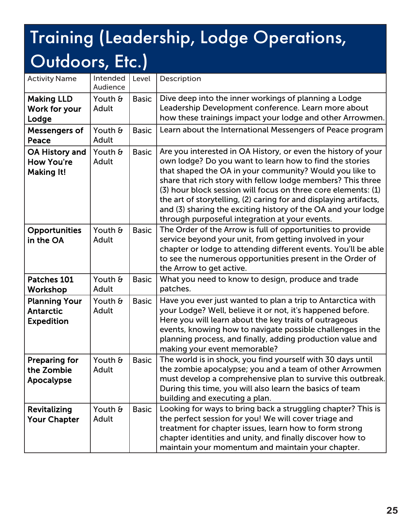| <b>Activity Name</b>                                            | Intended<br>Audience | Level        | Description                                                                                                                                                                                                                                                                                                                                                                                                                                                                                                 |
|-----------------------------------------------------------------|----------------------|--------------|-------------------------------------------------------------------------------------------------------------------------------------------------------------------------------------------------------------------------------------------------------------------------------------------------------------------------------------------------------------------------------------------------------------------------------------------------------------------------------------------------------------|
| <b>Making LLD</b><br>Work for your<br>Lodge                     | Youth &<br>Adult     | <b>Basic</b> | Dive deep into the inner workings of planning a Lodge<br>Leadership Development conference. Learn more about<br>how these trainings impact your lodge and other Arrowmen.                                                                                                                                                                                                                                                                                                                                   |
| Messengers of<br>Peace                                          | Youth &<br>Adult     | <b>Basic</b> | Learn about the International Messengers of Peace program                                                                                                                                                                                                                                                                                                                                                                                                                                                   |
| <b>OA History and</b><br><b>How You're</b><br><b>Making It!</b> | Youth &<br>Adult     | <b>Basic</b> | Are you interested in OA History, or even the history of your<br>own lodge? Do you want to learn how to find the stories<br>that shaped the OA in your community? Would you like to<br>share that rich story with fellow lodge members? This three<br>(3) hour block session will focus on three core elements: (1)<br>the art of storytelling, (2) caring for and displaying artifacts,<br>and (3) sharing the exciting history of the OA and your lodge<br>through purposeful integration at your events. |
| <b>Opportunities</b><br>in the OA                               | Youth &<br>Adult     | <b>Basic</b> | The Order of the Arrow is full of opportunities to provide<br>service beyond your unit, from getting involved in your<br>chapter or lodge to attending different events. You'll be able<br>to see the numerous opportunities present in the Order of<br>the Arrow to get active.                                                                                                                                                                                                                            |
| Patches 101<br>Workshop                                         | Youth &<br>Adult     | <b>Basic</b> | What you need to know to design, produce and trade<br>patches.                                                                                                                                                                                                                                                                                                                                                                                                                                              |
| <b>Planning Your</b><br><b>Antarctic</b><br><b>Expedition</b>   | Youth &<br>Adult     | <b>Basic</b> | Have you ever just wanted to plan a trip to Antarctica with<br>your Lodge? Well, believe it or not, it's happened before.<br>Here you will learn about the key traits of outrageous<br>events, knowing how to navigate possible challenges in the<br>planning process, and finally, adding production value and<br>making your event memorable?                                                                                                                                                             |
| <b>Preparing for</b><br>the Zombie<br>Apocalypse                | Youth &<br>Adult     | <b>Basic</b> | The world is in shock, you find yourself with 30 days until<br>the zombie apocalypse; you and a team of other Arrowmen<br>must develop a comprehensive plan to survive this outbreak.<br>During this time, you will also learn the basics of team<br>building and executing a plan.                                                                                                                                                                                                                         |
| Revitalizing<br><b>Your Chapter</b>                             | Youth &<br>Adult     | <b>Basic</b> | Looking for ways to bring back a struggling chapter? This is<br>the perfect session for you! We will cover triage and<br>treatment for chapter issues, learn how to form strong<br>chapter identities and unity, and finally discover how to<br>maintain your momentum and maintain your chapter.                                                                                                                                                                                                           |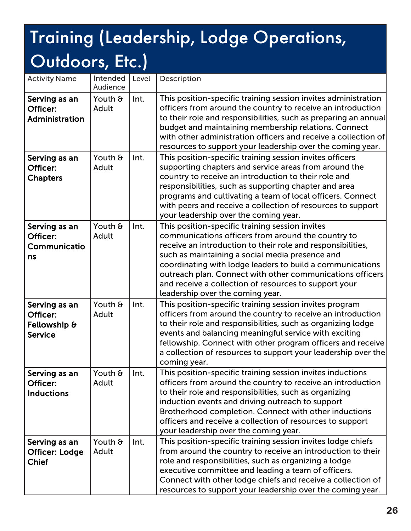| <b>Activity Name</b>                                        | Intended<br>Audience | Level | Description                                                                                                                                                                                                                                                                                                                                                                                                                                    |
|-------------------------------------------------------------|----------------------|-------|------------------------------------------------------------------------------------------------------------------------------------------------------------------------------------------------------------------------------------------------------------------------------------------------------------------------------------------------------------------------------------------------------------------------------------------------|
| Serving as an<br>Officer:<br>Administration                 | Youth &<br>Adult     | Int.  | This position-specific training session invites administration<br>officers from around the country to receive an introduction<br>to their role and responsibilities, such as preparing an annual<br>budget and maintaining membership relations. Connect<br>with other administration officers and receive a collection of<br>resources to support your leadership over the coming year.                                                       |
| Serving as an<br>Officer:<br><b>Chapters</b>                | Youth &<br>Adult     | Int.  | This position-specific training session invites officers<br>supporting chapters and service areas from around the<br>country to receive an introduction to their role and<br>responsibilities, such as supporting chapter and area<br>programs and cultivating a team of local officers. Connect<br>with peers and receive a collection of resources to support<br>your leadership over the coming year.                                       |
| Serving as an<br>Officer:<br>Communicatio<br>ns             | Youth &<br>Adult     | Int.  | This position-specific training session invites<br>communications officers from around the country to<br>receive an introduction to their role and responsibilities,<br>such as maintaining a social media presence and<br>coordinating with lodge leaders to build a communications<br>outreach plan. Connect with other communications officers<br>and receive a collection of resources to support your<br>leadership over the coming year. |
| Serving as an<br>Officer:<br>Fellowship &<br><b>Service</b> | Youth &<br>Adult     | Int.  | This position-specific training session invites program<br>officers from around the country to receive an introduction<br>to their role and responsibilities, such as organizing lodge<br>events and balancing meaningful service with exciting<br>fellowship. Connect with other program officers and receive<br>a collection of resources to support your leadership over the<br>coming year.                                                |
| Serving as an<br>Officer:<br><b>Inductions</b>              | Youth &<br>Adult     | Int.  | This position-specific training session invites inductions<br>officers from around the country to receive an introduction<br>to their role and responsibilities, such as organizing<br>induction events and driving outreach to support<br>Brotherhood completion. Connect with other inductions<br>officers and receive a collection of resources to support<br>your leadership over the coming year.                                         |
| Serving as an<br><b>Officer: Lodge</b><br><b>Chief</b>      | Youth &<br>Adult     | Int.  | This position-specific training session invites lodge chiefs<br>from around the country to receive an introduction to their<br>role and responsibilities, such as organizing a lodge<br>executive committee and leading a team of officers.<br>Connect with other lodge chiefs and receive a collection of<br>resources to support your leadership over the coming year.                                                                       |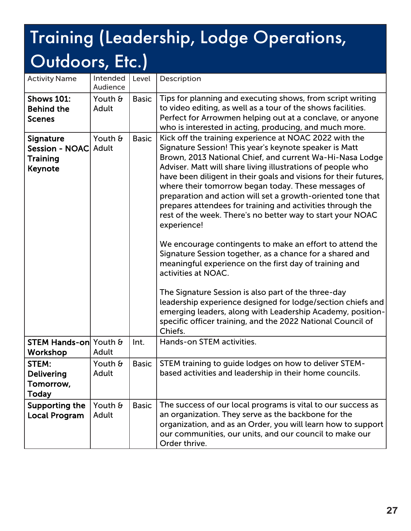| <b>Activity Name</b>                                                   | Intended<br>Audience | Level        | Description                                                                                                                                                                                                                                                                                                                                                                                                                                                                                                                                                                                                                                                                                                                                                                                                                                                                                                                                                                                                                                             |
|------------------------------------------------------------------------|----------------------|--------------|---------------------------------------------------------------------------------------------------------------------------------------------------------------------------------------------------------------------------------------------------------------------------------------------------------------------------------------------------------------------------------------------------------------------------------------------------------------------------------------------------------------------------------------------------------------------------------------------------------------------------------------------------------------------------------------------------------------------------------------------------------------------------------------------------------------------------------------------------------------------------------------------------------------------------------------------------------------------------------------------------------------------------------------------------------|
| <b>Shows 101:</b><br><b>Behind the</b><br><b>Scenes</b>                | Youth &<br>Adult     | <b>Basic</b> | Tips for planning and executing shows, from script writing<br>to video editing, as well as a tour of the shows facilities.<br>Perfect for Arrowmen helping out at a conclave, or anyone<br>who is interested in acting, producing, and much more.                                                                                                                                                                                                                                                                                                                                                                                                                                                                                                                                                                                                                                                                                                                                                                                                       |
| <b>Signature</b><br>Session - NOAC Adult<br><b>Training</b><br>Keynote | Youth &              | <b>Basic</b> | Kick off the training experience at NOAC 2022 with the<br>Signature Session! This year's keynote speaker is Matt<br>Brown, 2013 National Chief, and current Wa-Hi-Nasa Lodge<br>Adviser. Matt will share living illustrations of people who<br>have been diligent in their goals and visions for their futures,<br>where their tomorrow began today. These messages of<br>preparation and action will set a growth-oriented tone that<br>prepares attendees for training and activities through the<br>rest of the week. There's no better way to start your NOAC<br>experience!<br>We encourage contingents to make an effort to attend the<br>Signature Session together, as a chance for a shared and<br>meaningful experience on the first day of training and<br>activities at NOAC.<br>The Signature Session is also part of the three-day<br>leadership experience designed for lodge/section chiefs and<br>emerging leaders, along with Leadership Academy, position-<br>specific officer training, and the 2022 National Council of<br>Chiefs. |
| <b>STEM Hands-on</b> Youth &<br>Workshop                               | Adult                | Int.         | Hands-on STEM activities.                                                                                                                                                                                                                                                                                                                                                                                                                                                                                                                                                                                                                                                                                                                                                                                                                                                                                                                                                                                                                               |
| STEM:<br><b>Delivering</b><br>Tomorrow,<br><b>Today</b>                | Youth &<br>Adult     | <b>Basic</b> | STEM training to guide lodges on how to deliver STEM-<br>based activities and leadership in their home councils.                                                                                                                                                                                                                                                                                                                                                                                                                                                                                                                                                                                                                                                                                                                                                                                                                                                                                                                                        |
| Supporting the<br><b>Local Program</b>                                 | Youth &<br>Adult     | <b>Basic</b> | The success of our local programs is vital to our success as<br>an organization. They serve as the backbone for the<br>organization, and as an Order, you will learn how to support<br>our communities, our units, and our council to make our<br>Order thrive.                                                                                                                                                                                                                                                                                                                                                                                                                                                                                                                                                                                                                                                                                                                                                                                         |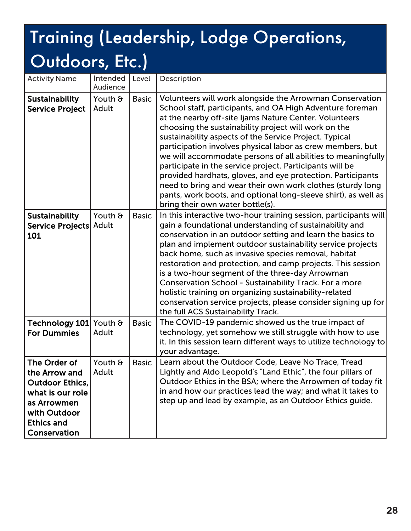| <b>Activity Name</b>                                                                                                                            | Intended<br>Audience | Level        | Description                                                                                                                                                                                                                                                                                                                                                                                                                                                                                                                                                                                                                                                                                                                    |
|-------------------------------------------------------------------------------------------------------------------------------------------------|----------------------|--------------|--------------------------------------------------------------------------------------------------------------------------------------------------------------------------------------------------------------------------------------------------------------------------------------------------------------------------------------------------------------------------------------------------------------------------------------------------------------------------------------------------------------------------------------------------------------------------------------------------------------------------------------------------------------------------------------------------------------------------------|
| <b>Sustainability</b><br><b>Service Project</b>                                                                                                 | Youth &<br>Adult     | <b>Basic</b> | Volunteers will work alongside the Arrowman Conservation<br>School staff, participants, and OA High Adventure foreman<br>at the nearby off-site Ijams Nature Center. Volunteers<br>choosing the sustainability project will work on the<br>sustainability aspects of the Service Project. Typical<br>participation involves physical labor as crew members, but<br>we will accommodate persons of all abilities to meaningfully<br>participate in the service project. Participants will be<br>provided hardhats, gloves, and eye protection. Participants<br>need to bring and wear their own work clothes (sturdy long<br>pants, work boots, and optional long-sleeve shirt), as well as<br>bring their own water bottle(s). |
| <b>Sustainability</b><br>Service Projects Adult<br>101                                                                                          | Youth &              | <b>Basic</b> | In this interactive two-hour training session, participants will<br>gain a foundational understanding of sustainability and<br>conservation in an outdoor setting and learn the basics to<br>plan and implement outdoor sustainability service projects<br>back home, such as invasive species removal, habitat<br>restoration and protection, and camp projects. This session<br>is a two-hour segment of the three-day Arrowman<br><b>Conservation School - Sustainability Track. For a more</b><br>holistic training on organizing sustainability-related<br>conservation service projects, please consider signing up for<br>the full ACS Sustainability Track.                                                            |
| Technology 101<br><b>For Dummies</b>                                                                                                            | Youth &<br>Adult     | <b>Basic</b> | The COVID-19 pandemic showed us the true impact of<br>technology, yet somehow we still struggle with how to use<br>it. In this session learn different ways to utilize technology to<br>your advantage.                                                                                                                                                                                                                                                                                                                                                                                                                                                                                                                        |
| The Order of<br>the Arrow and<br><b>Outdoor Ethics,</b><br>what is our role<br>as Arrowmen<br>with Outdoor<br><b>Ethics and</b><br>Conservation | Youth &<br>Adult     | <b>Basic</b> | Learn about the Outdoor Code, Leave No Trace, Tread<br>Lightly and Aldo Leopold's "Land Ethic", the four pillars of<br>Outdoor Ethics in the BSA; where the Arrowmen of today fit<br>in and how our practices lead the way; and what it takes to<br>step up and lead by example, as an Outdoor Ethics guide.                                                                                                                                                                                                                                                                                                                                                                                                                   |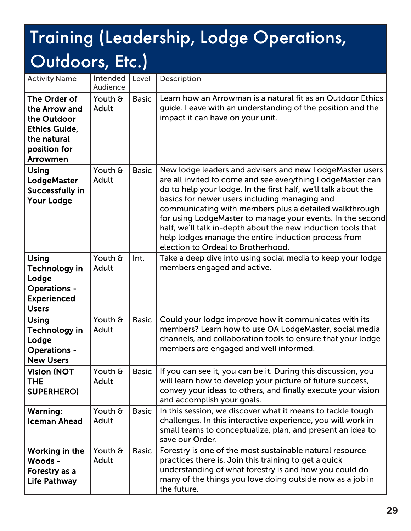| <b>Activity Name</b>                                                                                                   | Intended<br>Audience | Level        | Description                                                                                                                                                                                                                                                                                                                                                                                                                                                                                                                     |
|------------------------------------------------------------------------------------------------------------------------|----------------------|--------------|---------------------------------------------------------------------------------------------------------------------------------------------------------------------------------------------------------------------------------------------------------------------------------------------------------------------------------------------------------------------------------------------------------------------------------------------------------------------------------------------------------------------------------|
| The Order of<br>the Arrow and<br>the Outdoor<br><b>Ethics Guide,</b><br>the natural<br>position for<br><b>Arrowmen</b> | Youth &<br>Adult     | <b>Basic</b> | Learn how an Arrowman is a natural fit as an Outdoor Ethics<br>guide. Leave with an understanding of the position and the<br>impact it can have on your unit.                                                                                                                                                                                                                                                                                                                                                                   |
| Using<br>LodgeMaster<br>Successfully in<br><b>Your Lodge</b>                                                           | Youth &<br>Adult     | <b>Basic</b> | New lodge leaders and advisers and new LodgeMaster users<br>are all invited to come and see everything LodgeMaster can<br>do to help your lodge. In the first half, we'll talk about the<br>basics for newer users including managing and<br>communicating with members plus a detailed walkthrough<br>for using LodgeMaster to manage your events. In the second<br>half, we'll talk in-depth about the new induction tools that<br>help lodges manage the entire induction process from<br>election to Ordeal to Brotherhood. |
| <b>Using</b><br>Technology in<br>Lodge<br><b>Operations -</b><br><b>Experienced</b><br><b>Users</b>                    | Youth &<br>Adult     | Int.         | Take a deep dive into using social media to keep your lodge<br>members engaged and active.                                                                                                                                                                                                                                                                                                                                                                                                                                      |
| Using<br>Technology in<br>Lodge<br><b>Operations -</b><br><b>New Users</b>                                             | Youth &<br>Adult     | <b>Basic</b> | Could your lodge improve how it communicates with its<br>members? Learn how to use OA LodgeMaster, social media<br>channels, and collaboration tools to ensure that your lodge<br>members are engaged and well informed.                                                                                                                                                                                                                                                                                                        |
| <b>Vision (NOT</b><br><b>THE</b><br><b>SUPERHERO)</b>                                                                  | Youth &<br>Adult     | <b>Basic</b> | If you can see it, you can be it. During this discussion, you<br>will learn how to develop your picture of future success,<br>convey your ideas to others, and finally execute your vision<br>and accomplish your goals.                                                                                                                                                                                                                                                                                                        |
| Warning:<br><b>Iceman Ahead</b>                                                                                        | Youth &<br>Adult     | <b>Basic</b> | In this session, we discover what it means to tackle tough<br>challenges. In this interactive experience, you will work in<br>small teams to conceptualize, plan, and present an idea to<br>save our Order.                                                                                                                                                                                                                                                                                                                     |
| Working in the<br>Woods -<br>Forestry as a<br><b>Life Pathway</b>                                                      | Youth &<br>Adult     | <b>Basic</b> | Forestry is one of the most sustainable natural resource<br>practices there is. Join this training to get a quick<br>understanding of what forestry is and how you could do<br>many of the things you love doing outside now as a job in<br>the future.                                                                                                                                                                                                                                                                         |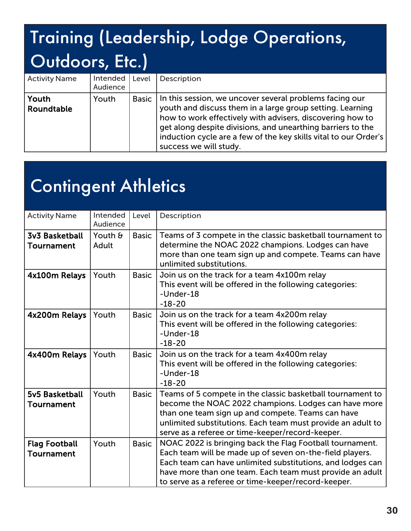| <b>Activity Name</b> | Intended<br>Audience | Level        | Description                                                                                                                                                                                                                                                                                                                                    |
|----------------------|----------------------|--------------|------------------------------------------------------------------------------------------------------------------------------------------------------------------------------------------------------------------------------------------------------------------------------------------------------------------------------------------------|
| Youth<br>Roundtable  | Youth                | <b>Basic</b> | In this session, we uncover several problems facing our<br>youth and discuss them in a large group setting. Learning<br>how to work effectively with advisers, discovering how to<br>get along despite divisions, and unearthing barriers to the<br>induction cycle are a few of the key skills vital to our Order's<br>success we will study. |

#### Contingent Athletics

| <b>Activity Name</b>               | Intended<br>Audience | Level        | Description                                                                                                                                                                                                                                                                                           |
|------------------------------------|----------------------|--------------|-------------------------------------------------------------------------------------------------------------------------------------------------------------------------------------------------------------------------------------------------------------------------------------------------------|
| 3v3 Basketball<br>Tournament       | Youth &<br>Adult     | <b>Basic</b> | Teams of 3 compete in the classic basketball tournament to<br>determine the NOAC 2022 champions. Lodges can have<br>more than one team sign up and compete. Teams can have<br>unlimited substitutions.                                                                                                |
| 4x100m Relays                      | Youth                | <b>Basic</b> | Join us on the track for a team 4x100m relay<br>This event will be offered in the following categories:<br>-Under-18<br>$-18-20$                                                                                                                                                                      |
| 4x200m Relays                      | Youth                | <b>Basic</b> | Join us on the track for a team 4x200m relay<br>This event will be offered in the following categories:<br>-Under-18<br>$-18-20$                                                                                                                                                                      |
| 4x400m Relays                      | Youth                | <b>Basic</b> | Join us on the track for a team 4x400m relay<br>This event will be offered in the following categories:<br>-Under-18<br>$-18-20$                                                                                                                                                                      |
| 5v5 Basketball<br>Tournament       | Youth                | <b>Basic</b> | Teams of 5 compete in the classic basketball tournament to<br>become the NOAC 2022 champions. Lodges can have more<br>than one team sign up and compete. Teams can have<br>unlimited substitutions. Each team must provide an adult to<br>serve as a referee or time-keeper/record-keeper.            |
| <b>Flag Football</b><br>Tournament | Youth                | <b>Basic</b> | NOAC 2022 is bringing back the Flag Football tournament.<br>Each team will be made up of seven on-the-field players.<br>Each team can have unlimited substitutions, and lodges can<br>have more than one team. Each team must provide an adult<br>to serve as a referee or time-keeper/record-keeper. |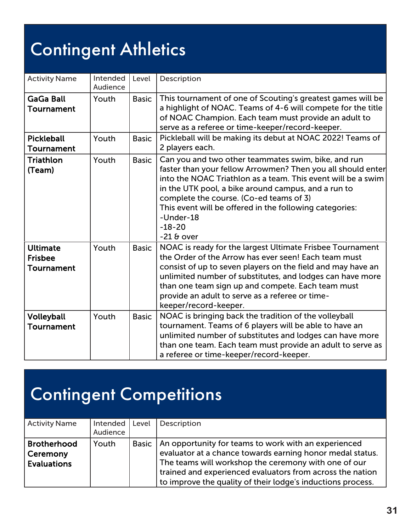## Contingent Athletics

| <b>Activity Name</b>                            | Intended<br>Audience | Level        | Description                                                                                                                                                                                                                                                                                                                                                                              |
|-------------------------------------------------|----------------------|--------------|------------------------------------------------------------------------------------------------------------------------------------------------------------------------------------------------------------------------------------------------------------------------------------------------------------------------------------------------------------------------------------------|
| <b>GaGa Ball</b><br>Tournament                  | Youth                | <b>Basic</b> | This tournament of one of Scouting's greatest games will be<br>a highlight of NOAC. Teams of 4-6 will compete for the title<br>of NOAC Champion. Each team must provide an adult to<br>serve as a referee or time-keeper/record-keeper.                                                                                                                                                  |
| <b>Pickleball</b><br><b>Tournament</b>          | Youth                | <b>Basic</b> | Pickleball will be making its debut at NOAC 2022! Teams of<br>2 players each.                                                                                                                                                                                                                                                                                                            |
| Triathlon<br>(Team)                             | Youth                | <b>Basic</b> | Can you and two other teammates swim, bike, and run<br>faster than your fellow Arrowmen? Then you all should enter<br>into the NOAC Triathlon as a team. This event will be a swim<br>in the UTK pool, a bike around campus, and a run to<br>complete the course. (Co-ed teams of 3)<br>This event will be offered in the following categories:<br>-Under-18<br>$-18-20$<br>$-21$ & over |
| <b>Ultimate</b><br><b>Frisbee</b><br>Tournament | Youth                | <b>Basic</b> | NOAC is ready for the largest Ultimate Frisbee Tournament<br>the Order of the Arrow has ever seen! Each team must<br>consist of up to seven players on the field and may have an<br>unlimited number of substitutes, and lodges can have more<br>than one team sign up and compete. Each team must<br>provide an adult to serve as a referee or time-<br>keeper/record-keeper.           |
| Volleyball<br>Tournament                        | Youth                | <b>Basic</b> | NOAC is bringing back the tradition of the volleyball<br>tournament. Teams of 6 players will be able to have an<br>unlimited number of substitutes and lodges can have more<br>than one team. Each team must provide an adult to serve as<br>a referee or time-keeper/record-keeper.                                                                                                     |

#### Contingent Competitions

| <b>Activity Name</b>                                 | Intended  <br>Audience | Level        | Description                                                                                                                                                                                                                                                                                           |
|------------------------------------------------------|------------------------|--------------|-------------------------------------------------------------------------------------------------------------------------------------------------------------------------------------------------------------------------------------------------------------------------------------------------------|
| <b>Brotherhood</b><br>Ceremony<br><b>Evaluations</b> | Youth                  | <b>Basic</b> | An opportunity for teams to work with an experienced<br>evaluator at a chance towards earning honor medal status.<br>The teams will workshop the ceremony with one of our<br>trained and experienced evaluators from across the nation<br>to improve the quality of their lodge's inductions process. |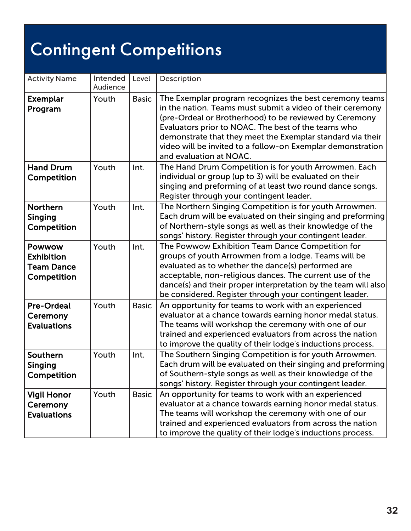# Contingent Competitions

| <b>Activity Name</b>                                            | Intended<br>Audience | Level        | Description                                                                                                                                                                                                                                                                                                                                                                                    |
|-----------------------------------------------------------------|----------------------|--------------|------------------------------------------------------------------------------------------------------------------------------------------------------------------------------------------------------------------------------------------------------------------------------------------------------------------------------------------------------------------------------------------------|
| <b>Exemplar</b><br>Program                                      | Youth                | <b>Basic</b> | The Exemplar program recognizes the best ceremony teams<br>in the nation. Teams must submit a video of their ceremony<br>(pre-Ordeal or Brotherhood) to be reviewed by Ceremony<br>Evaluators prior to NOAC. The best of the teams who<br>demonstrate that they meet the Exemplar standard via their<br>video will be invited to a follow-on Exemplar demonstration<br>and evaluation at NOAC. |
| <b>Hand Drum</b><br>Competition                                 | Youth                | Int.         | The Hand Drum Competition is for youth Arrowmen. Each<br>individual or group (up to 3) will be evaluated on their<br>singing and preforming of at least two round dance songs.<br>Register through your contingent leader.                                                                                                                                                                     |
| <b>Northern</b><br>Singing<br>Competition                       | Youth                | Int.         | The Northern Singing Competition is for youth Arrowmen.<br>Each drum will be evaluated on their singing and preforming<br>of Northern-style songs as well as their knowledge of the<br>songs' history. Register through your contingent leader.                                                                                                                                                |
| Powwow<br><b>Exhibition</b><br><b>Team Dance</b><br>Competition | Youth                | Int.         | The Powwow Exhibition Team Dance Competition for<br>groups of youth Arrowmen from a lodge. Teams will be<br>evaluated as to whether the dance(s) performed are<br>acceptable, non-religious dances. The current use of the<br>dance(s) and their proper interpretation by the team will also<br>be considered. Register through your contingent leader.                                        |
| <b>Pre-Ordeal</b><br>Ceremony<br><b>Evaluations</b>             | Youth                | <b>Basic</b> | An opportunity for teams to work with an experienced<br>evaluator at a chance towards earning honor medal status.<br>The teams will workshop the ceremony with one of our<br>trained and experienced evaluators from across the nation<br>to improve the quality of their lodge's inductions process.                                                                                          |
| Southern<br>Singing<br>Competition                              | Youth                | Int.         | The Southern Singing Competition is for youth Arrowmen.<br>Each drum will be evaluated on their singing and preforming<br>of Southern-style songs as well as their knowledge of the<br>songs' history. Register through your contingent leader.                                                                                                                                                |
| <b>Vigil Honor</b><br>Ceremony<br><b>Evaluations</b>            | Youth                | <b>Basic</b> | An opportunity for teams to work with an experienced<br>evaluator at a chance towards earning honor medal status.<br>The teams will workshop the ceremony with one of our<br>trained and experienced evaluators from across the nation<br>to improve the quality of their lodge's inductions process.                                                                                          |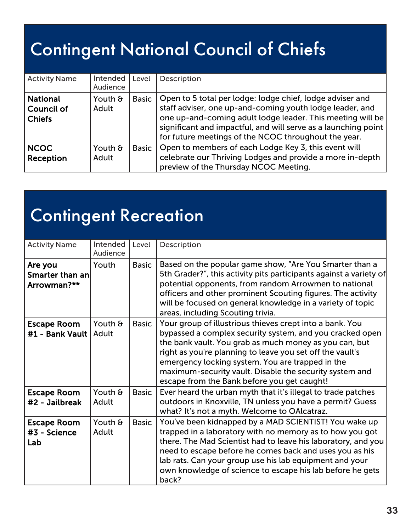#### Contingent National Council of Chiefs

| <b>Activity Name</b>               | <b>Intended</b><br>Audience | Level        | Description                                                                                                                                                                                                                                                                                                   |
|------------------------------------|-----------------------------|--------------|---------------------------------------------------------------------------------------------------------------------------------------------------------------------------------------------------------------------------------------------------------------------------------------------------------------|
| National<br>Council of<br>  Chiefs | Youth &<br>Adult            | <b>Basic</b> | Open to 5 total per lodge: lodge chief, lodge adviser and<br>staff adviser, one up-and-coming youth lodge leader, and<br>one up-and-coming adult lodge leader. This meeting will be<br>significant and impactful, and will serve as a launching point<br>for future meetings of the NCOC throughout the year. |
| <b>NCOC</b><br>Reception           | Youth &<br>Adult            | <b>Basic</b> | Open to members of each Lodge Key 3, this event will<br>celebrate our Thriving Lodges and provide a more in-depth<br>preview of the Thursday NCOC Meeting.                                                                                                                                                    |

## Contingent Recreation

| <b>Activity Name</b>                      | Intended<br>Audience      | Level        | Description                                                                                                                                                                                                                                                                                                                                                                                               |
|-------------------------------------------|---------------------------|--------------|-----------------------------------------------------------------------------------------------------------------------------------------------------------------------------------------------------------------------------------------------------------------------------------------------------------------------------------------------------------------------------------------------------------|
| Are you<br>Smarter than an<br>Arrowman?** | Youth                     | <b>Basic</b> | Based on the popular game show, "Are You Smarter than a<br>5th Grader?", this activity pits participants against a variety of<br>potential opponents, from random Arrowmen to national<br>officers and other prominent Scouting figures. The activity<br>will be focused on general knowledge in a variety of topic<br>areas, including Scouting trivia.                                                  |
| <b>Escape Room</b><br>#1 - Bank Vault     | Youth $\theta$<br>  Adult | <b>Basic</b> | Your group of illustrious thieves crept into a bank. You<br>bypassed a complex security system, and you cracked open<br>the bank vault. You grab as much money as you can, but<br>right as you're planning to leave you set off the vault's<br>emergency locking system. You are trapped in the<br>maximum-security vault. Disable the security system and<br>escape from the Bank before you get caught! |
| <b>Escape Room</b><br>#2 - Jailbreak      | Youth &<br>Adult          | <b>Basic</b> | Ever heard the urban myth that it's illegal to trade patches<br>outdoors in Knoxville, TN unless you have a permit? Guess<br>what? It's not a myth. Welcome to OAlcatraz.                                                                                                                                                                                                                                 |
| <b>Escape Room</b><br>#3 - Science<br>Lab | Youth &<br>Adult          | <b>Basic</b> | You've been kidnapped by a MAD SCIENTIST! You wake up<br>trapped in a laboratory with no memory as to how you got<br>there. The Mad Scientist had to leave his laboratory, and you<br>need to escape before he comes back and uses you as his<br>lab rats. Can your group use his lab equipment and your<br>own knowledge of science to escape his lab before he gets<br>back?                            |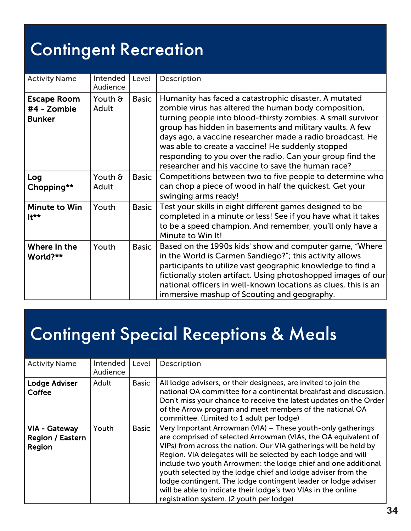#### Contingent Recreation

| <b>Activity Name</b>                               | Intended<br>Audience    | Level        | Description                                                                                                                                                                                                                                                                                                                                                                                                                                                                   |
|----------------------------------------------------|-------------------------|--------------|-------------------------------------------------------------------------------------------------------------------------------------------------------------------------------------------------------------------------------------------------------------------------------------------------------------------------------------------------------------------------------------------------------------------------------------------------------------------------------|
| <b>Escape Room</b><br>#4 - Zombie<br><b>Bunker</b> | Youth &<br>Adult        | <b>Basic</b> | Humanity has faced a catastrophic disaster. A mutated<br>zombie virus has altered the human body composition,<br>turning people into blood-thirsty zombies. A small survivor<br>group has hidden in basements and military vaults. A few<br>days ago, a vaccine researcher made a radio broadcast. He<br>was able to create a vaccine! He suddenly stopped<br>responding to you over the radio. Can your group find the<br>researcher and his vaccine to save the human race? |
| Log<br>Chopping**                                  | Youth $\theta$<br>Adult | <b>Basic</b> | Competitions between two to five people to determine who<br>can chop a piece of wood in half the quickest. Get your<br>swinging arms ready!                                                                                                                                                                                                                                                                                                                                   |
| Minute to Win<br>$It**$                            | Youth                   | <b>Basic</b> | Test your skills in eight different games designed to be<br>completed in a minute or less! See if you have what it takes<br>to be a speed champion. And remember, you'll only have a<br>Minute to Win It!                                                                                                                                                                                                                                                                     |
| Where in the<br>World?**                           | Youth                   | <b>Basic</b> | Based on the 1990s kids' show and computer game, "Where<br>in the World is Carmen Sandiego?"; this activity allows<br>participants to utilize vast geographic knowledge to find a<br>fictionally stolen artifact. Using photoshopped images of our<br>national officers in well-known locations as clues, this is an<br>immersive mashup of Scouting and geography.                                                                                                           |

#### Contingent Special Receptions & Meals

| <b>Activity Name</b>                        | Intended<br>Audience | Level        | Description                                                                                                                                                                                                                                                                                                                                                                                                                                                                                                                                                                         |
|---------------------------------------------|----------------------|--------------|-------------------------------------------------------------------------------------------------------------------------------------------------------------------------------------------------------------------------------------------------------------------------------------------------------------------------------------------------------------------------------------------------------------------------------------------------------------------------------------------------------------------------------------------------------------------------------------|
| Lodge Adviser<br>Coffee                     | Adult                | <b>Basic</b> | All lodge advisers, or their designees, are invited to join the<br>national OA committee for a continental breakfast and discussion.<br>Don't miss your chance to receive the latest updates on the Order<br>of the Arrow program and meet members of the national OA<br>committee. (Limited to 1 adult per lodge)                                                                                                                                                                                                                                                                  |
| VIA - Gateway<br>Region / Eastern<br>Region | Youth                | <b>Basic</b> | Very Important Arrowman (VIA) – These youth-only gatherings<br>are comprised of selected Arrowman (VIAs, the OA equivalent of<br>VIPs) from across the nation. Our VIA gatherings will be held by<br>Region. VIA delegates will be selected by each lodge and will<br>include two youth Arrowmen: the lodge chief and one additional<br>youth selected by the lodge chief and lodge adviser from the<br>lodge contingent. The lodge contingent leader or lodge adviser<br>will be able to indicate their lodge's two VIAs in the online<br>registration system. (2 youth per lodge) |